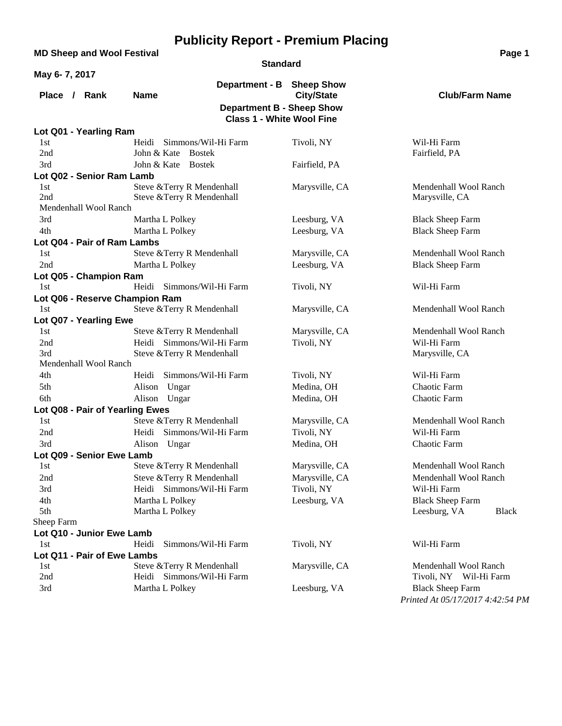|               | <b>MD Sheep and Wool Festival</b> |                                |                                                | Page 1                                  |
|---------------|-----------------------------------|--------------------------------|------------------------------------------------|-----------------------------------------|
|               |                                   |                                | <b>Standard</b>                                |                                         |
| May 6-7, 2017 |                                   |                                |                                                |                                         |
| Place /       | Rank                              | <b>Name</b>                    | Department - B Sheep Show<br><b>City/State</b> | <b>Club/Farm Name</b>                   |
|               |                                   |                                | <b>Department B - Sheep Show</b>               |                                         |
|               |                                   |                                | <b>Class 1 - White Wool Fine</b>               |                                         |
|               | Lot Q01 - Yearling Ram            |                                |                                                |                                         |
| 1st           |                                   | Simmons/Wil-Hi Farm<br>Heidi   | Tivoli, NY                                     | Wil-Hi Farm                             |
| 2nd           |                                   | John & Kate<br><b>Bostek</b>   |                                                | Fairfield, PA                           |
| 3rd           |                                   | John & Kate<br><b>Bostek</b>   | Fairfield, PA                                  |                                         |
|               | Lot Q02 - Senior Ram Lamb         |                                |                                                |                                         |
| 1st           |                                   | Steve & Terry R Mendenhall     | Marysville, CA                                 | Mendenhall Wool Ranch                   |
| 2nd           |                                   | Steve & Terry R Mendenhall     |                                                | Marysville, CA                          |
|               | Mendenhall Wool Ranch             |                                |                                                |                                         |
| 3rd           |                                   | Martha L Polkey                | Leesburg, VA                                   | <b>Black Sheep Farm</b>                 |
| 4th           |                                   | Martha L Polkey                | Leesburg, VA                                   | <b>Black Sheep Farm</b>                 |
|               | Lot Q04 - Pair of Ram Lambs       |                                |                                                |                                         |
| 1st           |                                   | Steve & Terry R Mendenhall     | Marysville, CA                                 | Mendenhall Wool Ranch                   |
| 2nd           |                                   | Martha L Polkey                | Leesburg, VA                                   | <b>Black Sheep Farm</b>                 |
|               | Lot Q05 - Champion Ram            |                                |                                                |                                         |
| 1st           |                                   | Simmons/Wil-Hi Farm<br>Heidi   | Tivoli, NY                                     | Wil-Hi Farm                             |
|               |                                   | Lot Q06 - Reserve Champion Ram |                                                |                                         |
| 1st           |                                   | Steve & Terry R Mendenhall     | Marysville, CA                                 | Mendenhall Wool Ranch                   |
|               | Lot Q07 - Yearling Ewe            |                                |                                                |                                         |
| 1st           |                                   | Steve & Terry R Mendenhall     | Marysville, CA                                 | Mendenhall Wool Ranch                   |
| 2nd           |                                   | Heidi Simmons/Wil-Hi Farm      | Tivoli, NY                                     | Wil-Hi Farm                             |
| 3rd           |                                   | Steve & Terry R Mendenhall     |                                                | Marysville, CA                          |
|               | Mendenhall Wool Ranch             |                                |                                                |                                         |
| 4th           |                                   | Simmons/Wil-Hi Farm<br>Heidi   | Tivoli, NY                                     | Wil-Hi Farm                             |
| 5th           |                                   | Alison Ungar                   | Medina, OH                                     | Chaotic Farm                            |
| 6th           |                                   | Alison Ungar                   | Medina, OH                                     | Chaotic Farm                            |
|               | Lot Q08 - Pair of Yearling Ewes   |                                |                                                |                                         |
| 1st           |                                   | Steve & Terry R Mendenhall     | Marysville, CA                                 | Mendenhall Wool Ranch                   |
| 2nd           |                                   | Simmons/Wil-Hi Farm<br>Heidi   | Tivoli, NY                                     | Wil-Hi Farm                             |
| 3rd           |                                   | Alison Ungar                   | Medina, OH                                     | Chaotic Farm                            |
|               | Lot Q09 - Senior Ewe Lamb         |                                |                                                |                                         |
| 1st           |                                   | Steve & Terry R Mendenhall     | Marysville, CA                                 | Mendenhall Wool Ranch                   |
| 2nd           |                                   | Steve & Terry R Mendenhall     | Marysville, CA                                 | Mendenhall Wool Ranch                   |
| 3rd           |                                   | Heidi Simmons/Wil-Hi Farm      | Tivoli, NY                                     | Wil-Hi Farm                             |
| 4th<br>5th    |                                   | Martha L Polkey                | Leesburg, VA                                   | <b>Black Sheep Farm</b><br><b>Black</b> |
| Sheep Farm    |                                   | Martha L Polkey                |                                                | Leesburg, VA                            |
|               | Lot Q10 - Junior Ewe Lamb         |                                |                                                |                                         |
| 1st           |                                   | Simmons/Wil-Hi Farm<br>Heidi   | Tivoli, NY                                     | Wil-Hi Farm                             |
|               | Lot Q11 - Pair of Ewe Lambs       |                                |                                                |                                         |
| 1st           |                                   | Steve & Terry R Mendenhall     | Marysville, CA                                 | Mendenhall Wool Ranch                   |
| 2nd           |                                   | Heidi Simmons/Wil-Hi Farm      |                                                | Tivoli, NY Wil-Hi Farm                  |
| 3rd           |                                   | Martha L Polkey                | Leesburg, VA                                   | <b>Black Sheep Farm</b>                 |
|               |                                   |                                |                                                | Printed At 05/17/2017 4:42:54 PM        |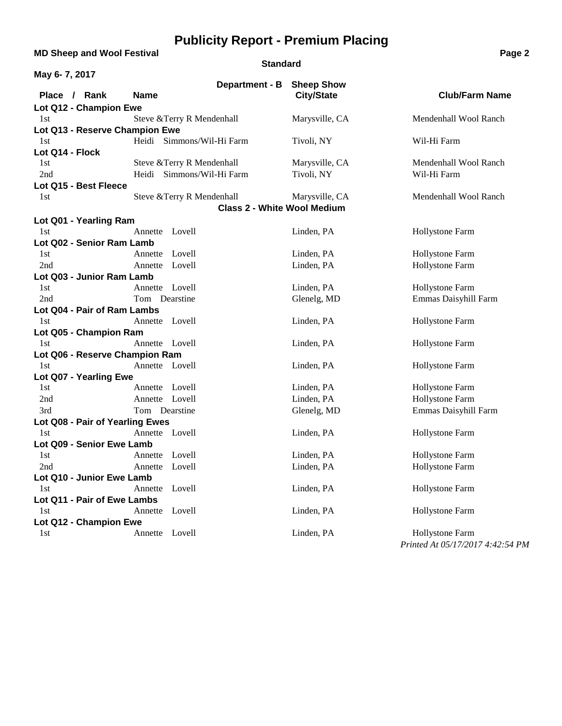### **MD Sheep and Wool Festival <b>Page 2 Page 2**

#### **Standard**

| May 6-7, 2017                   |                                                                  |                   |                                         |
|---------------------------------|------------------------------------------------------------------|-------------------|-----------------------------------------|
|                                 | Department - B Sheep Show                                        |                   |                                         |
| Place / Rank                    | <b>Name</b>                                                      | <b>City/State</b> | <b>Club/Farm Name</b>                   |
| Lot Q12 - Champion Ewe          |                                                                  |                   |                                         |
| 1st                             | Steve & Terry R Mendenhall                                       | Marysville, CA    | Mendenhall Wool Ranch                   |
| Lot Q13 - Reserve Champion Ewe  |                                                                  |                   |                                         |
| 1st                             | Heidi Simmons/Wil-Hi Farm                                        | Tivoli, NY        | Wil-Hi Farm                             |
| Lot Q14 - Flock                 |                                                                  |                   |                                         |
| 1st                             | Steve & Terry R Mendenhall                                       | Marysville, CA    | Mendenhall Wool Ranch                   |
| 2nd                             | Heidi Simmons/Wil-Hi Farm                                        | Tivoli, NY        | Wil-Hi Farm                             |
| Lot Q15 - Best Fleece           |                                                                  |                   |                                         |
| 1st                             | Steve & Terry R Mendenhall<br><b>Class 2 - White Wool Medium</b> | Marysville, CA    | Mendenhall Wool Ranch                   |
|                                 |                                                                  |                   |                                         |
| Lot Q01 - Yearling Ram          |                                                                  |                   |                                         |
| 1st                             | Annette Lovell                                                   | Linden, PA        | Hollystone Farm                         |
| Lot Q02 - Senior Ram Lamb       |                                                                  |                   |                                         |
| 1st                             | Lovell<br>Annette                                                | Linden, PA        | Hollystone Farm                         |
| 2nd                             | Annette Lovell                                                   | Linden, PA        | Hollystone Farm                         |
| Lot Q03 - Junior Ram Lamb       | Annette Lovell                                                   | Linden, PA        |                                         |
| 1st<br>2nd                      | Tom Dearstine                                                    |                   | Hollystone Farm<br>Emmas Daisyhill Farm |
| Lot Q04 - Pair of Ram Lambs     |                                                                  | Glenelg, MD       |                                         |
| 1st                             | Annette Lovell                                                   | Linden, PA        | Hollystone Farm                         |
| Lot Q05 - Champion Ram          |                                                                  |                   |                                         |
| 1st                             | Annette Lovell                                                   | Linden, PA        | Hollystone Farm                         |
| Lot Q06 - Reserve Champion Ram  |                                                                  |                   |                                         |
| 1st                             | Annette Lovell                                                   | Linden, PA        | Hollystone Farm                         |
| Lot Q07 - Yearling Ewe          |                                                                  |                   |                                         |
| 1st                             | Annette Lovell                                                   | Linden, PA        | Hollystone Farm                         |
| 2nd                             | Annette Lovell                                                   | Linden, PA        | Hollystone Farm                         |
| 3rd                             | Tom Dearstine                                                    | Glenelg, MD       | Emmas Daisyhill Farm                    |
| Lot Q08 - Pair of Yearling Ewes |                                                                  |                   |                                         |
| 1st                             | Annette Lovell                                                   | Linden, PA        | Hollystone Farm                         |
| Lot Q09 - Senior Ewe Lamb       |                                                                  |                   |                                         |
| 1st                             | Lovell<br>Annette                                                | Linden, PA        | Hollystone Farm                         |
| 2nd                             | Annette Lovell                                                   | Linden, PA        | Hollystone Farm                         |
| Lot Q10 - Junior Ewe Lamb       |                                                                  |                   |                                         |
| 1st                             | Annette Lovell                                                   | Linden, PA        | Hollystone Farm                         |
| Lot Q11 - Pair of Ewe Lambs     |                                                                  |                   |                                         |
| 1st                             | Annette Lovell                                                   | Linden, PA        | Hollystone Farm                         |
| Lot Q12 - Champion Ewe          |                                                                  |                   |                                         |
| 1st                             | Annette Lovell                                                   | Linden, PA        | Hollystone Farm                         |
|                                 |                                                                  |                   | Printed At 05/17/2017 4:42:54 PM        |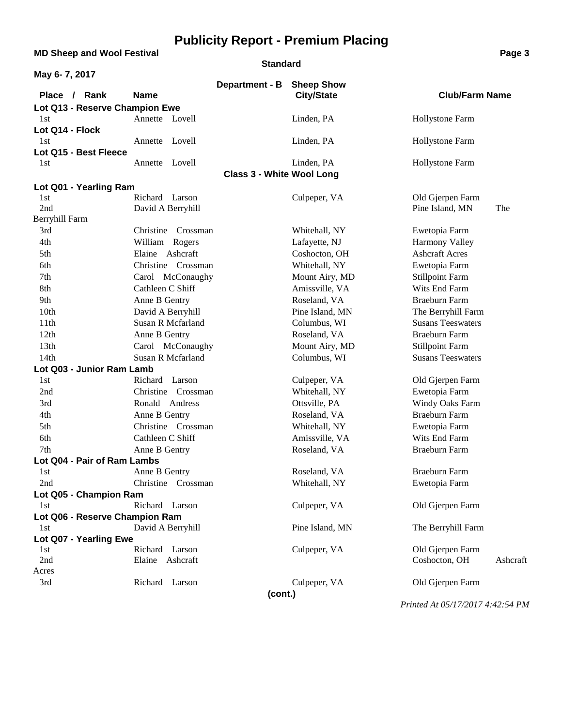**MD Sheep and Wool Festival <b>Page 3 Page 3** 

#### **Standard**

| May 6-7, 2017                  |                          |                                  |                   |                          |          |
|--------------------------------|--------------------------|----------------------------------|-------------------|--------------------------|----------|
|                                |                          | Department - B                   | <b>Sheep Show</b> |                          |          |
| Place / Rank                   | <b>Name</b>              |                                  | <b>City/State</b> | <b>Club/Farm Name</b>    |          |
| Lot Q13 - Reserve Champion Ewe |                          |                                  |                   |                          |          |
| 1st                            | Annette Lovell           |                                  | Linden, PA        | Hollystone Farm          |          |
| Lot Q14 - Flock                |                          |                                  |                   |                          |          |
| 1st                            | Annette Lovell           |                                  | Linden, PA        | Hollystone Farm          |          |
| Lot Q15 - Best Fleece          |                          |                                  |                   |                          |          |
| 1st                            | Annette Lovell           |                                  | Linden, PA        | <b>Hollystone Farm</b>   |          |
|                                |                          | <b>Class 3 - White Wool Long</b> |                   |                          |          |
| Lot Q01 - Yearling Ram<br>1st  | Richard Larson           |                                  |                   | Old Gjerpen Farm         |          |
| 2nd                            | David A Berryhill        |                                  | Culpeper, VA      | Pine Island, MN          | The      |
| Berryhill Farm                 |                          |                                  |                   |                          |          |
| 3rd                            | Christine Crossman       |                                  | Whitehall, NY     | Ewetopia Farm            |          |
| 4th                            | William Rogers           |                                  | Lafayette, NJ     | <b>Harmony Valley</b>    |          |
| 5th                            | Elaine Ashcraft          |                                  | Coshocton, OH     | <b>Ashcraft Acres</b>    |          |
| 6th                            | Christine Crossman       |                                  | Whitehall, NY     | Ewetopia Farm            |          |
| 7th                            | Carol McConaughy         |                                  | Mount Airy, MD    | <b>Stillpoint Farm</b>   |          |
| 8th                            | Cathleen C Shiff         |                                  | Amissville, VA    | Wits End Farm            |          |
| 9th                            | Anne B Gentry            |                                  | Roseland, VA      | <b>Braeburn Farm</b>     |          |
| 10th                           | David A Berryhill        |                                  | Pine Island, MN   | The Berryhill Farm       |          |
| 11 <sup>th</sup>               | <b>Susan R Mcfarland</b> |                                  | Columbus, WI      | <b>Susans Teeswaters</b> |          |
| 12th                           | Anne B Gentry            |                                  | Roseland, VA      | <b>Braeburn Farm</b>     |          |
| 13th                           | Carol McConaughy         |                                  | Mount Airy, MD    | <b>Stillpoint Farm</b>   |          |
| 14 <sub>th</sub>               | Susan R Mcfarland        |                                  | Columbus, WI      | <b>Susans Teeswaters</b> |          |
| Lot Q03 - Junior Ram Lamb      |                          |                                  |                   |                          |          |
| 1st                            | Richard Larson           |                                  | Culpeper, VA      | Old Gjerpen Farm         |          |
| 2nd                            | Christine Crossman       |                                  | Whitehall, NY     | Ewetopia Farm            |          |
| 3rd                            | Ronald Andress           |                                  | Ottsville, PA     | Windy Oaks Farm          |          |
| 4th                            | Anne B Gentry            |                                  | Roseland, VA      | <b>Braeburn Farm</b>     |          |
| 5th                            | Christine Crossman       |                                  | Whitehall, NY     | Ewetopia Farm            |          |
| 6th                            | Cathleen C Shiff         |                                  | Amissville, VA    | Wits End Farm            |          |
| 7th                            | Anne B Gentry            |                                  | Roseland, VA      | Braeburn Farm            |          |
| Lot Q04 - Pair of Ram Lambs    |                          |                                  |                   |                          |          |
| 1st                            | Anne B Gentry            |                                  | Roseland, VA      | Braeburn Farm            |          |
| 2nd                            | Christine Crossman       |                                  | Whitehall, NY     | Ewetopia Farm            |          |
| Lot Q05 - Champion Ram         |                          |                                  |                   |                          |          |
| 1st                            | Richard Larson           |                                  | Culpeper, VA      | Old Gjerpen Farm         |          |
| Lot Q06 - Reserve Champion Ram |                          |                                  |                   |                          |          |
| 1st                            | David A Berryhill        |                                  | Pine Island, MN   | The Berryhill Farm       |          |
| Lot Q07 - Yearling Ewe         | Richard Larson           |                                  | Culpeper, VA      | Old Gjerpen Farm         |          |
| 1st<br>2nd                     | Elaine Ashcraft          |                                  |                   | Coshocton, OH            | Ashcraft |
| Acres                          |                          |                                  |                   |                          |          |
| 3rd                            | Richard Larson           |                                  | Culpeper, VA      | Old Gjerpen Farm         |          |
|                                |                          | (cont.)                          |                   |                          |          |
|                                |                          |                                  |                   |                          |          |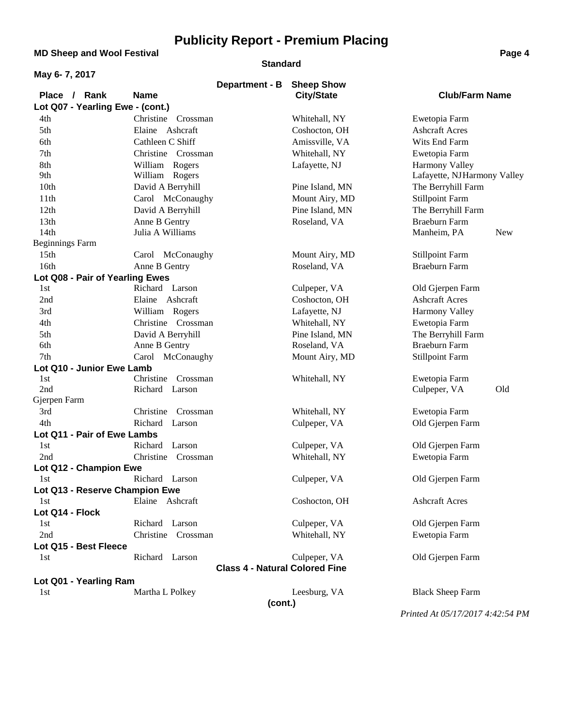**MD Sheep and Wool Festival <b>Page 4 Page 4** 

#### **Standard**

| May 6-7, 2017                         |                                       |                                        |                             |  |  |
|---------------------------------------|---------------------------------------|----------------------------------------|-----------------------------|--|--|
| Place / Rank                          | Department - B<br><b>Name</b>         | <b>Sheep Show</b><br><b>City/State</b> | <b>Club/Farm Name</b>       |  |  |
| Lot Q07 - Yearling Ewe - (cont.)      |                                       |                                        |                             |  |  |
| 4th                                   | Christine Crossman                    | Whitehall, NY                          | Ewetopia Farm               |  |  |
| 5th                                   | Elaine Ashcraft                       | Coshocton, OH                          | <b>Ashcraft Acres</b>       |  |  |
| 6th                                   | Cathleen C Shiff                      | Amissville, VA                         | Wits End Farm               |  |  |
| 7th                                   | Christine Crossman                    | Whitehall, NY                          | Ewetopia Farm               |  |  |
| 8th                                   | William Rogers                        | Lafayette, NJ                          | <b>Harmony Valley</b>       |  |  |
| 9th                                   | William Rogers                        |                                        | Lafayette, NJHarmony Valley |  |  |
| 10th                                  | David A Berryhill                     | Pine Island, MN                        | The Berryhill Farm          |  |  |
| 11th                                  | Carol McConaughy                      | Mount Airy, MD                         | <b>Stillpoint Farm</b>      |  |  |
| 12th                                  | David A Berryhill                     | Pine Island, MN                        | The Berryhill Farm          |  |  |
| 13 <sub>th</sub>                      | Anne B Gentry                         | Roseland, VA                           | Braeburn Farm               |  |  |
| 14 <sub>th</sub>                      | Julia A Williams                      |                                        | Manheim, PA<br><b>New</b>   |  |  |
| <b>Beginnings Farm</b>                |                                       |                                        |                             |  |  |
| 15 <sub>th</sub>                      | Carol McConaughy                      | Mount Airy, MD                         | <b>Stillpoint Farm</b>      |  |  |
| 16th                                  | Anne B Gentry                         | Roseland, VA                           | Braeburn Farm               |  |  |
| Lot Q08 - Pair of Yearling Ewes       |                                       |                                        |                             |  |  |
| 1st                                   | Richard Larson                        | Culpeper, VA                           | Old Gjerpen Farm            |  |  |
| 2nd                                   | Elaine Ashcraft                       | Coshocton, OH                          | <b>Ashcraft Acres</b>       |  |  |
| 3rd                                   | William Rogers                        | Lafayette, NJ                          | <b>Harmony Valley</b>       |  |  |
| 4th                                   | Christine Crossman                    | Whitehall, NY                          | Ewetopia Farm               |  |  |
| 5th                                   | David A Berryhill                     | Pine Island, MN                        | The Berryhill Farm          |  |  |
| 6th                                   | Anne B Gentry                         | Roseland, VA                           | <b>Braeburn Farm</b>        |  |  |
| 7th                                   | Carol McConaughy                      | Mount Airy, MD                         | <b>Stillpoint Farm</b>      |  |  |
| Lot Q10 - Junior Ewe Lamb             |                                       |                                        |                             |  |  |
| 1st                                   | Christine<br>Crossman                 | Whitehall, NY                          | Ewetopia Farm               |  |  |
| 2nd                                   | Richard Larson                        |                                        | Old<br>Culpeper, VA         |  |  |
| Gjerpen Farm                          |                                       |                                        |                             |  |  |
| 3rd                                   | Christine<br>Crossman                 | Whitehall, NY                          | Ewetopia Farm               |  |  |
| 4th                                   | Richard Larson                        | Culpeper, VA                           | Old Gjerpen Farm            |  |  |
| Lot Q11 - Pair of Ewe Lambs           | Richard<br>Larson                     |                                        |                             |  |  |
| 1st                                   |                                       | Culpeper, VA                           | Old Gjerpen Farm            |  |  |
| 2nd                                   | Christine Crossman                    | Whitehall, NY                          | Ewetopia Farm               |  |  |
| Lot Q12 - Champion Ewe                | Richard Larson                        | Culpeper, VA                           | Old Gjerpen Farm            |  |  |
| 1st<br>Lot Q13 - Reserve Champion Ewe |                                       |                                        |                             |  |  |
| 1st                                   | Elaine Ashcraft                       | Coshocton, OH                          | <b>Ashcraft Acres</b>       |  |  |
| Lot Q14 - Flock                       |                                       |                                        |                             |  |  |
| 1st                                   | Richard Larson                        | Culpeper, VA                           | Old Gjerpen Farm            |  |  |
| 2nd                                   | Christine Crossman                    | Whitehall, NY                          | Ewetopia Farm               |  |  |
| Lot Q15 - Best Fleece                 |                                       |                                        |                             |  |  |
| 1st                                   | Richard Larson                        | Culpeper, VA                           | Old Gjerpen Farm            |  |  |
|                                       |                                       |                                        |                             |  |  |
| Lot Q01 - Yearling Ram                | <b>Class 4 - Natural Colored Fine</b> |                                        |                             |  |  |
| 1st                                   | Martha L Polkey                       | Leesburg, VA                           | <b>Black Sheep Farm</b>     |  |  |
|                                       | (cont.)                               |                                        |                             |  |  |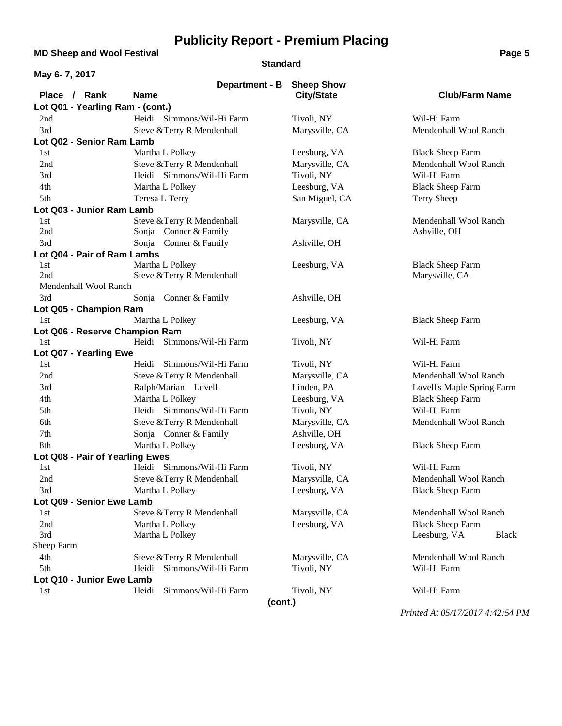**MD Sheep and Wool Festival <b>Page 5 Page 5** 

#### **Standard**

| May 6-7, 2017                      |                                                     |                   |                              |
|------------------------------------|-----------------------------------------------------|-------------------|------------------------------|
|                                    | Department - B                                      | <b>Sheep Show</b> |                              |
| Place / Rank                       | <b>Name</b>                                         | <b>City/State</b> | <b>Club/Farm Name</b>        |
| Lot Q01 - Yearling Ram - (cont.)   |                                                     |                   |                              |
| 2nd                                | Heidi Simmons/Wil-Hi Farm                           | Tivoli, NY        | Wil-Hi Farm                  |
| 3rd                                | Steve & Terry R Mendenhall                          | Marysville, CA    | Mendenhall Wool Ranch        |
| Lot Q02 - Senior Ram Lamb          |                                                     |                   |                              |
| 1st                                | Martha L Polkey                                     | Leesburg, VA      | <b>Black Sheep Farm</b>      |
| 2nd                                | Steve & Terry R Mendenhall                          | Marysville, CA    | Mendenhall Wool Ranch        |
| 3rd                                | Heidi Simmons/Wil-Hi Farm                           | Tivoli, NY        | Wil-Hi Farm                  |
| 4th                                | Martha L Polkey                                     | Leesburg, VA      | <b>Black Sheep Farm</b>      |
| 5th                                | Teresa L Terry                                      | San Miguel, CA    | <b>Terry Sheep</b>           |
| Lot Q03 - Junior Ram Lamb          |                                                     |                   |                              |
| 1st<br>2nd                         | Steve & Terry R Mendenhall<br>Sonja Conner & Family | Marysville, CA    | Mendenhall Wool Ranch        |
| 3rd                                |                                                     |                   | Ashville, OH                 |
|                                    | Sonja Conner & Family                               | Ashville, OH      |                              |
| Lot Q04 - Pair of Ram Lambs<br>1st | Martha L Polkey                                     | Leesburg, VA      | <b>Black Sheep Farm</b>      |
| 2nd                                | Steve & Terry R Mendenhall                          |                   | Marysville, CA               |
| Mendenhall Wool Ranch              |                                                     |                   |                              |
| 3rd                                | Sonja Conner & Family                               | Ashville, OH      |                              |
| Lot Q05 - Champion Ram             |                                                     |                   |                              |
| 1st                                | Martha L Polkey                                     | Leesburg, VA      | <b>Black Sheep Farm</b>      |
| Lot Q06 - Reserve Champion Ram     |                                                     |                   |                              |
| 1st                                | Simmons/Wil-Hi Farm<br>Heidi                        | Tivoli, NY        | Wil-Hi Farm                  |
| Lot Q07 - Yearling Ewe             |                                                     |                   |                              |
| 1st                                | Simmons/Wil-Hi Farm<br>Heidi                        | Tivoli, NY        | Wil-Hi Farm                  |
| 2nd                                | Steve & Terry R Mendenhall                          | Marysville, CA    | Mendenhall Wool Ranch        |
| 3rd                                | Ralph/Marian Lovell                                 | Linden, PA        | Lovell's Maple Spring Farm   |
| 4th                                | Martha L Polkey                                     | Leesburg, VA      | <b>Black Sheep Farm</b>      |
| 5th                                | Heidi Simmons/Wil-Hi Farm                           | Tivoli, NY        | Wil-Hi Farm                  |
| 6th                                | Steve & Terry R Mendenhall                          | Marysville, CA    | Mendenhall Wool Ranch        |
| 7th                                | Sonja Conner & Family                               | Ashville, OH      |                              |
| 8th                                | Martha L Polkey                                     | Leesburg, VA      | <b>Black Sheep Farm</b>      |
| Lot Q08 - Pair of Yearling Ewes    |                                                     |                   |                              |
| 1st                                | Heidi Simmons/Wil-Hi Farm                           | Tivoli, NY        | Wil-Hi Farm                  |
| 2nd                                | Steve & Terry R Mendenhall                          | Marysville, CA    | Mendenhall Wool Ranch        |
| 3rd                                | Martha L Polkey                                     | Leesburg, VA      | <b>Black Sheep Farm</b>      |
| Lot Q09 - Senior Ewe Lamb          |                                                     |                   |                              |
| 1st                                | Steve & Terry R Mendenhall                          | Marysville, CA    | Mendenhall Wool Ranch        |
| 2nd                                | Martha L Polkey                                     | Leesburg, VA      | <b>Black Sheep Farm</b>      |
| 3rd                                | Martha L Polkey                                     |                   | Leesburg, VA<br><b>Black</b> |
| Sheep Farm                         |                                                     |                   |                              |
| 4th                                | Steve & Terry R Mendenhall                          | Marysville, CA    | Mendenhall Wool Ranch        |
| 5th                                | Simmons/Wil-Hi Farm<br>Heidi                        | Tivoli, NY        | Wil-Hi Farm                  |
| Lot Q10 - Junior Ewe Lamb          | Simmons/Wil-Hi Farm<br>Heidi                        |                   | Wil-Hi Farm                  |
| 1st                                |                                                     | Tivoli, NY        |                              |
|                                    | (cont.)                                             |                   |                              |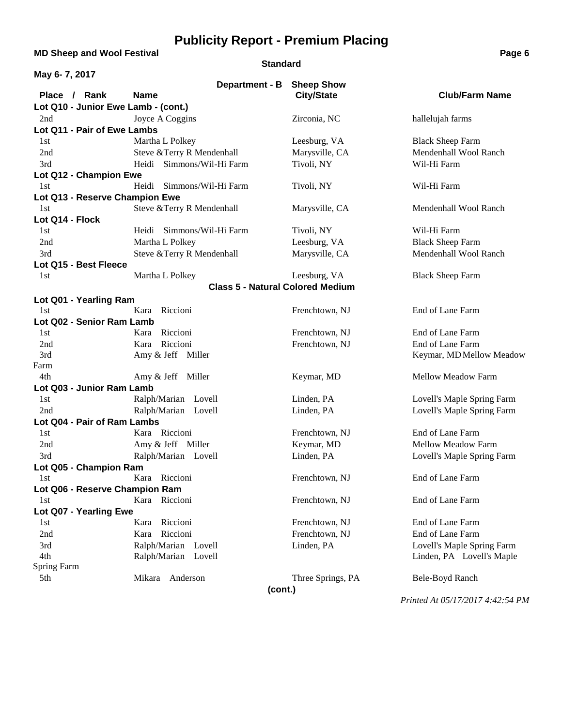**MD Sheep and Wool Festival <b>Page 6**<br> **MD** Sheep and Wool Festival

#### **Standard**

| May 6-7, 2017                         |                                         |                   |                            |  |
|---------------------------------------|-----------------------------------------|-------------------|----------------------------|--|
|                                       | Department - B                          | <b>Sheep Show</b> |                            |  |
| Place / Rank                          | <b>Name</b>                             | <b>City/State</b> | <b>Club/Farm Name</b>      |  |
| Lot Q10 - Junior Ewe Lamb - (cont.)   |                                         |                   |                            |  |
| 2nd                                   | Joyce A Coggins                         | Zirconia, NC      | hallelujah farms           |  |
| Lot Q11 - Pair of Ewe Lambs           |                                         |                   |                            |  |
| 1st                                   | Martha L Polkey                         | Leesburg, VA      | <b>Black Sheep Farm</b>    |  |
| 2nd                                   | Steve & Terry R Mendenhall              | Marysville, CA    | Mendenhall Wool Ranch      |  |
| 3rd                                   | Heidi Simmons/Wil-Hi Farm               | Tivoli, NY        | Wil-Hi Farm                |  |
| Lot Q12 - Champion Ewe                |                                         |                   |                            |  |
| 1st                                   | Heidi Simmons/Wil-Hi Farm               | Tivoli, NY        | Wil-Hi Farm                |  |
| Lot Q13 - Reserve Champion Ewe        |                                         |                   |                            |  |
| 1st                                   | Steve & Terry R Mendenhall              | Marysville, CA    | Mendenhall Wool Ranch      |  |
| Lot Q14 - Flock                       |                                         |                   |                            |  |
| 1st                                   | Heidi Simmons/Wil-Hi Farm               | Tivoli, NY        | Wil-Hi Farm                |  |
| 2nd                                   | Martha L Polkey                         | Leesburg, VA      | <b>Black Sheep Farm</b>    |  |
| 3rd                                   | Steve &Terry R Mendenhall               | Marysville, CA    | Mendenhall Wool Ranch      |  |
| Lot Q15 - Best Fleece                 |                                         |                   |                            |  |
| 1st                                   | Martha L Polkey                         | Leesburg, VA      | <b>Black Sheep Farm</b>    |  |
|                                       | <b>Class 5 - Natural Colored Medium</b> |                   |                            |  |
| Lot Q01 - Yearling Ram                |                                         |                   |                            |  |
| 1st                                   | Riccioni<br>Kara                        | Frenchtown, NJ    | End of Lane Farm           |  |
| Lot Q02 - Senior Ram Lamb             |                                         |                   |                            |  |
| 1st                                   | Riccioni<br>Kara                        | Frenchtown, NJ    | End of Lane Farm           |  |
| 2nd                                   | Riccioni<br>Kara                        | Frenchtown, NJ    | End of Lane Farm           |  |
| 3rd                                   | Amy & Jeff Miller                       |                   | Keymar, MD Mellow Meadow   |  |
| Farm                                  |                                         |                   |                            |  |
| 4th                                   | Amy & Jeff Miller                       | Keymar, MD        | Mellow Meadow Farm         |  |
| Lot Q03 - Junior Ram Lamb             |                                         |                   |                            |  |
| 1st                                   | Ralph/Marian Lovell                     | Linden, PA        | Lovell's Maple Spring Farm |  |
| 2nd                                   | Ralph/Marian Lovell                     | Linden, PA        | Lovell's Maple Spring Farm |  |
| Lot Q04 - Pair of Ram Lambs           |                                         |                   |                            |  |
| 1st                                   | Kara Riccioni                           | Frenchtown, NJ    | End of Lane Farm           |  |
| 2nd                                   | Amy & Jeff Miller                       | Keymar, MD        | Mellow Meadow Farm         |  |
| 3rd                                   | Ralph/Marian Lovell                     | Linden, PA        | Lovell's Maple Spring Farm |  |
| Lot Q05 - Champion Ram                | Kara Riccioni                           | Frenchtown, NJ    | End of Lane Farm           |  |
| 1st                                   |                                         |                   |                            |  |
| Lot Q06 - Reserve Champion Ram<br>1st | Kara Riccioni                           | Frenchtown, NJ    | End of Lane Farm           |  |
| Lot Q07 - Yearling Ewe                |                                         |                   |                            |  |
| 1st                                   | Riccioni<br>Kara                        | Frenchtown, NJ    | End of Lane Farm           |  |
| 2nd                                   | Riccioni<br>Kara                        | Frenchtown, NJ    | End of Lane Farm           |  |
| 3rd                                   | Ralph/Marian Lovell                     | Linden, PA        | Lovell's Maple Spring Farm |  |
| 4th                                   | Ralph/Marian Lovell                     |                   | Linden, PA Lovell's Maple  |  |
| <b>Spring Farm</b>                    |                                         |                   |                            |  |
| 5th                                   | Mikara<br>Anderson                      | Three Springs, PA | Bele-Boyd Ranch            |  |
|                                       |                                         |                   |                            |  |
| (cont.)                               |                                         |                   |                            |  |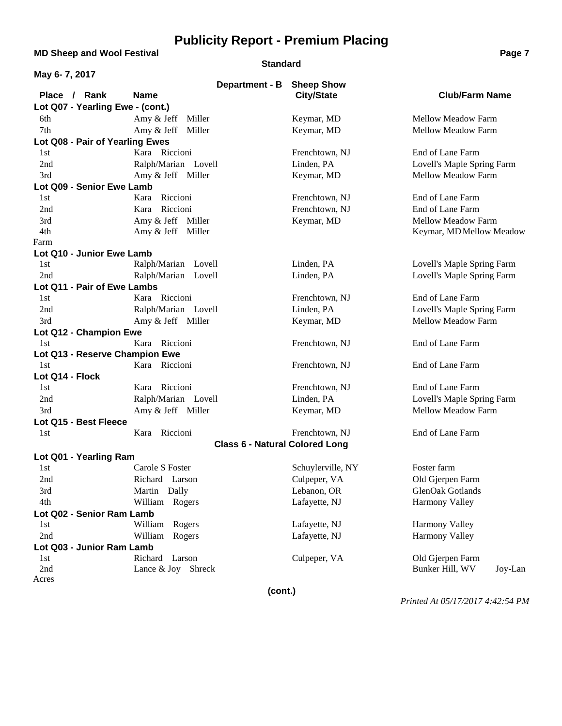**MD Sheep and Wool Festival <b>Page 7 Page 7 Page 7 Page 7** 

#### **Standard**

| May 6-7, 2017                    |                                       |                   |                            |  |
|----------------------------------|---------------------------------------|-------------------|----------------------------|--|
|                                  | Department - B                        | <b>Sheep Show</b> |                            |  |
| Place / Rank                     | <b>Name</b>                           | <b>City/State</b> | <b>Club/Farm Name</b>      |  |
| Lot Q07 - Yearling Ewe - (cont.) |                                       |                   |                            |  |
| 6th                              | Amy & Jeff Miller                     | Keymar, MD        | Mellow Meadow Farm         |  |
| 7th                              | Amy & Jeff Miller                     | Keymar, MD        | Mellow Meadow Farm         |  |
| Lot Q08 - Pair of Yearling Ewes  |                                       |                   |                            |  |
| 1st                              | Kara Riccioni                         | Frenchtown, NJ    | End of Lane Farm           |  |
| 2nd                              | Ralph/Marian Lovell                   | Linden, PA        | Lovell's Maple Spring Farm |  |
| 3rd                              | Amy & Jeff Miller                     | Keymar, MD        | Mellow Meadow Farm         |  |
| Lot Q09 - Senior Ewe Lamb        |                                       |                   |                            |  |
| 1st                              | Riccioni<br>Kara                      | Frenchtown, NJ    | End of Lane Farm           |  |
| 2nd                              | Riccioni<br>Kara                      | Frenchtown, NJ    | End of Lane Farm           |  |
| 3rd                              | Amy & Jeff Miller                     | Keymar, MD        | Mellow Meadow Farm         |  |
| 4th                              | Amy & Jeff Miller                     |                   | Keymar, MD Mellow Meadow   |  |
| Farm                             |                                       |                   |                            |  |
| Lot Q10 - Junior Ewe Lamb        |                                       |                   |                            |  |
| 1st                              | Ralph/Marian Lovell                   | Linden, PA        | Lovell's Maple Spring Farm |  |
| 2nd                              | Ralph/Marian Lovell                   | Linden, PA        | Lovell's Maple Spring Farm |  |
| Lot Q11 - Pair of Ewe Lambs      |                                       |                   |                            |  |
| 1st                              | Kara Riccioni                         | Frenchtown, NJ    | End of Lane Farm           |  |
| 2nd                              | Ralph/Marian Lovell                   | Linden, PA        | Lovell's Maple Spring Farm |  |
| 3rd                              | Amy & Jeff Miller                     | Keymar, MD        | Mellow Meadow Farm         |  |
| Lot Q12 - Champion Ewe           |                                       |                   |                            |  |
| 1st                              | Kara Riccioni                         | Frenchtown, NJ    | End of Lane Farm           |  |
| Lot Q13 - Reserve Champion Ewe   |                                       |                   |                            |  |
| 1st                              | Kara Riccioni                         | Frenchtown, NJ    | End of Lane Farm           |  |
| Lot Q14 - Flock                  |                                       |                   |                            |  |
| 1st                              | Kara Riccioni                         | Frenchtown, NJ    | End of Lane Farm           |  |
| 2nd                              | Ralph/Marian Lovell                   | Linden, PA        | Lovell's Maple Spring Farm |  |
| 3rd                              | Amy & Jeff Miller                     | Keymar, MD        | Mellow Meadow Farm         |  |
| Lot Q15 - Best Fleece            |                                       |                   |                            |  |
| 1st                              | Kara Riccioni                         | Frenchtown, NJ    | End of Lane Farm           |  |
|                                  | <b>Class 6 - Natural Colored Long</b> |                   |                            |  |
| Lot Q01 - Yearling Ram           |                                       |                   |                            |  |
| 1st                              | Carole S Foster                       | Schuylerville, NY | Foster farm                |  |
| 2nd                              | Richard Larson                        | Culpeper, VA      | Old Gjerpen Farm           |  |
| 3rd                              | Martin Dally                          | Lebanon, OR       | GlenOak Gotlands           |  |
| 4th                              | William Rogers                        | Lafayette, NJ     | <b>Harmony Valley</b>      |  |
| Lot Q02 - Senior Ram Lamb        |                                       |                   |                            |  |
| 1st                              | William<br>Rogers                     | Lafayette, NJ     | <b>Harmony Valley</b>      |  |
| 2nd                              | William Rogers                        | Lafayette, NJ     | Harmony Valley             |  |
| Lot Q03 - Junior Ram Lamb        |                                       |                   |                            |  |
| 1st                              | Richard Larson                        | Culpeper, VA      | Old Gjerpen Farm           |  |
| 2nd                              | Lance & Joy Shreck                    |                   | Bunker Hill, WV<br>Joy-Lan |  |
| Acres                            |                                       |                   |                            |  |
|                                  |                                       |                   |                            |  |

**(cont.)**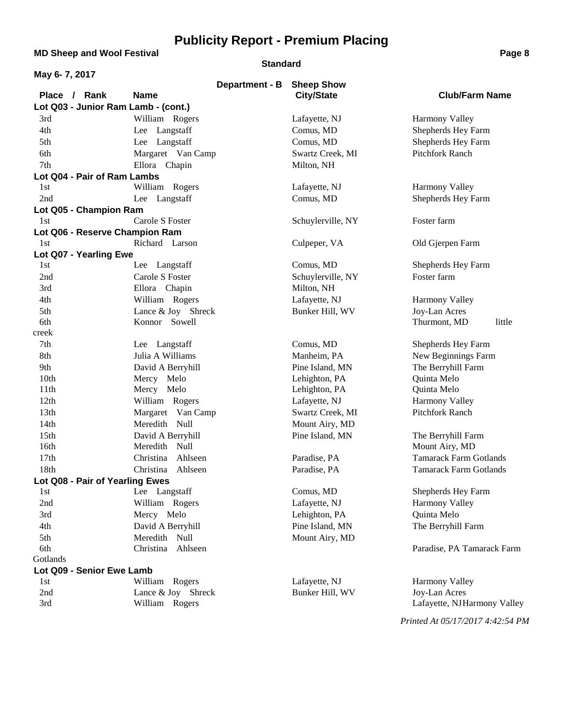**MD Sheep and Wool Festival <b>Page 8 Page 8** 

#### **Standard**

| May 6-7, 2017                       |                      |                   |                               |
|-------------------------------------|----------------------|-------------------|-------------------------------|
|                                     | Department - B       | <b>Sheep Show</b> |                               |
| Place / Rank                        | <b>Name</b>          | <b>City/State</b> | <b>Club/Farm Name</b>         |
| Lot Q03 - Junior Ram Lamb - (cont.) |                      |                   |                               |
| 3rd                                 | William Rogers       | Lafayette, NJ     | <b>Harmony Valley</b>         |
| 4th                                 | Lee Langstaff        | Comus, MD         | Shepherds Hey Farm            |
| 5th                                 | Lee Langstaff        | Comus, MD         | Shepherds Hey Farm            |
| 6th                                 | Margaret Van Camp    | Swartz Creek, MI  | <b>Pitchfork Ranch</b>        |
| 7th                                 | Ellora Chapin        | Milton, NH        |                               |
| Lot Q04 - Pair of Ram Lambs         |                      |                   |                               |
| 1st                                 | William Rogers       | Lafayette, NJ     | <b>Harmony Valley</b>         |
| 2nd                                 | Lee Langstaff        | Comus, MD         | Shepherds Hey Farm            |
| Lot Q05 - Champion Ram              |                      |                   |                               |
| 1st                                 | Carole S Foster      | Schuylerville, NY | Foster farm                   |
| Lot Q06 - Reserve Champion Ram      |                      |                   |                               |
| 1st                                 | Richard Larson       | Culpeper, VA      | Old Gjerpen Farm              |
| Lot Q07 - Yearling Ewe              |                      |                   |                               |
| 1st                                 | Lee Langstaff        | Comus, MD         | Shepherds Hey Farm            |
| 2nd                                 | Carole S Foster      | Schuylerville, NY | Foster farm                   |
| 3rd                                 | Ellora Chapin        | Milton, NH        |                               |
| 4th                                 | William Rogers       | Lafayette, NJ     | Harmony Valley                |
| 5th                                 | Lance & Joy Shreck   | Bunker Hill, WV   | Joy-Lan Acres                 |
| 6th                                 | Konnor Sowell        |                   | little<br>Thurmont, MD        |
| creek                               |                      |                   |                               |
| 7th                                 | Lee Langstaff        | Comus, MD         | Shepherds Hey Farm            |
| 8th                                 | Julia A Williams     | Manheim, PA       | New Beginnings Farm           |
| 9th                                 | David A Berryhill    | Pine Island, MN   | The Berryhill Farm            |
| 10th                                | Mercy Melo           | Lehighton, PA     | Quinta Melo                   |
| 11 <sup>th</sup>                    | Mercy Melo           | Lehighton, PA     | Quinta Melo                   |
| 12th                                | William Rogers       | Lafayette, NJ     | Harmony Valley                |
| 13th                                | Margaret Van Camp    | Swartz Creek, MI  | Pitchfork Ranch               |
| 14th                                | Meredith<br>Null     | Mount Airy, MD    |                               |
| 15th                                | David A Berryhill    | Pine Island, MN   | The Berryhill Farm            |
| 16th                                | Meredith Null        |                   | Mount Airy, MD                |
| 17th                                | Ahlseen<br>Christina | Paradise, PA      | <b>Tamarack Farm Gotlands</b> |
| 18th                                | Christina Ahlseen    | Paradise, PA      | <b>Tamarack Farm Gotlands</b> |
| Lot Q08 - Pair of Yearling Ewes     |                      |                   |                               |
| 1st                                 | Lee Langstaff        | Comus, MD         | Shepherds Hey Farm            |
| 2nd                                 | William Rogers       | Lafayette, NJ     | Harmony Valley                |
| 3rd                                 | Mercy Melo           | Lehighton, PA     | Quinta Melo                   |
| 4th                                 | David A Berryhill    | Pine Island, MN   | The Berryhill Farm            |
| 5th                                 | Meredith Null        | Mount Airy, MD    |                               |
| 6th                                 | Christina Ahlseen    |                   | Paradise, PA Tamarack Farm    |
| Gotlands                            |                      |                   |                               |
| Lot Q09 - Senior Ewe Lamb           |                      |                   |                               |
| 1st                                 | William Rogers       | Lafayette, NJ     | Harmony Valley                |
| 2nd                                 | Lance & Joy Shreck   | Bunker Hill, WV   | Joy-Lan Acres                 |
| 3rd                                 | William Rogers       |                   | Lafayette, NJHarmony Valley   |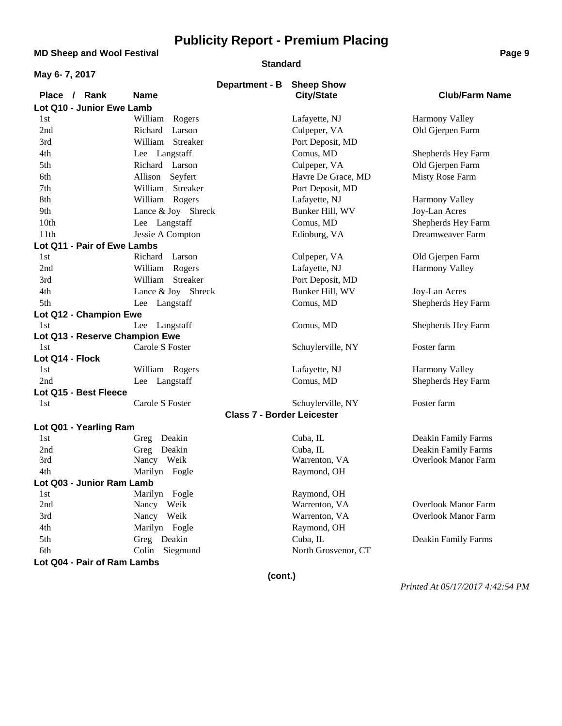**MD Sheep and Wool Festival <b>Page 9 Page 9** 

#### **Standard**

| May 6-7, 2017                  |                    |                                   |                            |                            |
|--------------------------------|--------------------|-----------------------------------|----------------------------|----------------------------|
|                                |                    | Department - B                    | <b>Sheep Show</b>          |                            |
| Place / Rank                   | <b>Name</b>        |                                   | <b>City/State</b>          | <b>Club/Farm Name</b>      |
| Lot Q10 - Junior Ewe Lamb      |                    |                                   |                            |                            |
| 1st                            | William Rogers     |                                   | Lafayette, NJ              | Harmony Valley             |
| 2nd                            | Richard<br>Larson  |                                   | Culpeper, VA               | Old Gjerpen Farm           |
| 3rd                            | William Streaker   |                                   | Port Deposit, MD           |                            |
| 4th                            | Lee Langstaff      |                                   | Comus, MD                  | Shepherds Hey Farm         |
| 5th                            | Richard Larson     |                                   | Culpeper, VA               | Old Gjerpen Farm           |
| 6th                            | Seyfert<br>Allison |                                   | Havre De Grace, MD         | Misty Rose Farm            |
| 7th                            | William Streaker   |                                   | Port Deposit, MD           |                            |
| 8th                            | William Rogers     |                                   | Lafayette, NJ              | Harmony Valley             |
| 9th                            | Lance & Joy Shreck |                                   | Bunker Hill, WV            | Joy-Lan Acres              |
| 10th                           | Lee Langstaff      |                                   | Comus, MD                  | Shepherds Hey Farm         |
| 11th                           | Jessie A Compton   |                                   | Edinburg, VA               | Dreamweaver Farm           |
| Lot Q11 - Pair of Ewe Lambs    |                    |                                   |                            |                            |
| 1st                            | Richard Larson     |                                   | Culpeper, VA               | Old Gjerpen Farm           |
| 2nd                            | William Rogers     |                                   | Lafayette, NJ              | <b>Harmony Valley</b>      |
| 3rd                            | William Streaker   |                                   | Port Deposit, MD           |                            |
| 4th                            | Lance & Joy Shreck |                                   | Bunker Hill, WV            | Joy-Lan Acres              |
| 5th                            | Lee Langstaff      |                                   | Comus, MD                  | Shepherds Hey Farm         |
| Lot Q12 - Champion Ewe         |                    |                                   |                            |                            |
| 1st                            | Lee Langstaff      |                                   | Comus, MD                  | Shepherds Hey Farm         |
| Lot Q13 - Reserve Champion Ewe |                    |                                   |                            |                            |
| 1st                            | Carole S Foster    |                                   | Schuylerville, NY          | Foster farm                |
| Lot Q14 - Flock<br>1st         |                    |                                   |                            |                            |
| 2nd                            | William Rogers     |                                   | Lafayette, NJ<br>Comus, MD | Harmony Valley             |
| Lot Q15 - Best Fleece          | Lee Langstaff      |                                   |                            | Shepherds Hey Farm         |
| 1st                            | Carole S Foster    |                                   | Schuylerville, NY          | Foster farm                |
|                                |                    | <b>Class 7 - Border Leicester</b> |                            |                            |
| Lot Q01 - Yearling Ram         |                    |                                   |                            |                            |
| 1st                            | Greg Deakin        |                                   | Cuba, IL                   | Deakin Family Farms        |
| 2nd                            | Deakin<br>Greg     |                                   | Cuba, IL                   | Deakin Family Farms        |
| 3rd                            | Nancy Weik         |                                   | Warrenton, VA              | <b>Overlook Manor Farm</b> |
| 4th                            | Marilyn Fogle      |                                   | Raymond, OH                |                            |
| Lot Q03 - Junior Ram Lamb      |                    |                                   |                            |                            |
| 1st                            | Marilyn Fogle      |                                   | Raymond, OH                |                            |
| 2nd                            | Nancy<br>Weik      |                                   | Warrenton, VA              | <b>Overlook Manor Farm</b> |
| 3rd                            | Nancy Weik         |                                   | Warrenton, VA              | <b>Overlook Manor Farm</b> |
| 4th                            | Marilyn Fogle      |                                   | Raymond, OH                |                            |
| 5th                            | Greg Deakin        |                                   | Cuba, IL                   | Deakin Family Farms        |
| 6th                            | Colin Siegmund     |                                   | North Grosvenor, CT        |                            |
| Lot Q04 - Pair of Ram Lambs    |                    |                                   |                            |                            |
|                                |                    | (cont.)                           |                            |                            |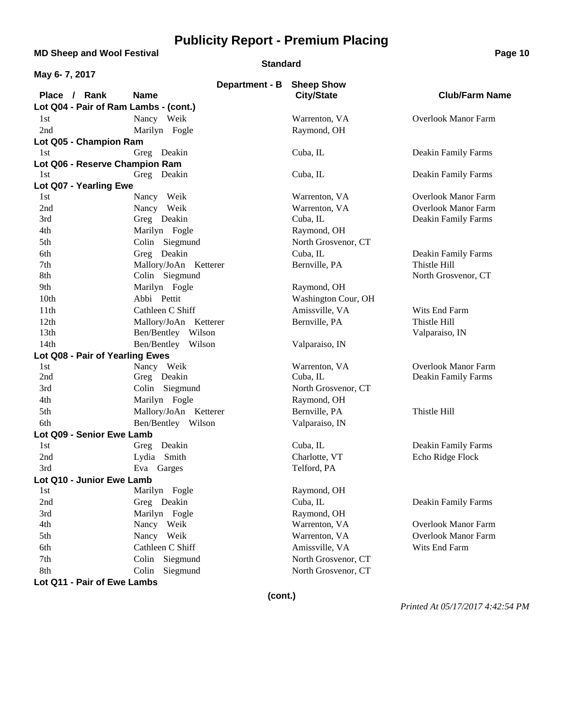**MD Sheep and Wool Festival <b>Page 10** 

#### **Standard**

| May 6-7, 2017                         |                       |                     |                            |
|---------------------------------------|-----------------------|---------------------|----------------------------|
|                                       | Department - B        | <b>Sheep Show</b>   |                            |
| Place / Rank                          | <b>Name</b>           | <b>City/State</b>   | <b>Club/Farm Name</b>      |
| Lot Q04 - Pair of Ram Lambs - (cont.) |                       |                     |                            |
| 1st                                   | Nancy Weik            | Warrenton, VA       | <b>Overlook Manor Farm</b> |
| 2nd                                   | Marilyn Fogle         | Raymond, OH         |                            |
| Lot Q05 - Champion Ram                |                       |                     |                            |
| 1st                                   | Greg Deakin           | Cuba, IL            | Deakin Family Farms        |
| Lot Q06 - Reserve Champion Ram        |                       |                     |                            |
| 1st                                   | Greg Deakin           | Cuba, IL            | Deakin Family Farms        |
| Lot Q07 - Yearling Ewe                |                       |                     |                            |
| 1st                                   | Nancy Weik            | Warrenton, VA       | <b>Overlook Manor Farm</b> |
| 2nd                                   | Nancy Weik            | Warrenton, VA       | <b>Overlook Manor Farm</b> |
| 3rd                                   | Greg Deakin           | Cuba, IL            | Deakin Family Farms        |
| 4th                                   | Marilyn Fogle         | Raymond, OH         |                            |
| 5th                                   | Colin Siegmund        | North Grosvenor, CT |                            |
| 6th                                   | Greg Deakin           | Cuba, IL            | Deakin Family Farms        |
| 7th                                   | Mallory/JoAn Ketterer | Bernville, PA       | Thistle Hill               |
| 8th                                   | Colin Siegmund        |                     | North Grosvenor, CT        |
| 9th                                   | Marilyn Fogle         | Raymond, OH         |                            |
| 10th                                  | Abbi Pettit           | Washington Cour, OH |                            |
| 11th                                  | Cathleen C Shiff      | Amissville, VA      | Wits End Farm              |
| 12th                                  | Mallory/JoAn Ketterer | Bernville, PA       | Thistle Hill               |
| 13 <sub>th</sub>                      | Ben/Bentley Wilson    |                     | Valparaiso, IN             |
| 14th                                  | Ben/Bentley Wilson    | Valparaiso, IN      |                            |
| Lot Q08 - Pair of Yearling Ewes       |                       |                     |                            |
| 1st                                   | Nancy Weik            | Warrenton, VA       | <b>Overlook Manor Farm</b> |
| 2nd                                   | Greg Deakin           | Cuba, IL            | Deakin Family Farms        |
| 3rd                                   | Colin Siegmund        | North Grosvenor, CT |                            |
| 4th                                   | Marilyn Fogle         | Raymond, OH         |                            |
| 5th                                   | Mallory/JoAn Ketterer | Bernville, PA       | Thistle Hill               |
| 6th                                   | Ben/Bentley Wilson    | Valparaiso, IN      |                            |
| Lot Q09 - Senior Ewe Lamb             |                       |                     |                            |
| 1st                                   | Deakin<br>Greg        | Cuba, IL            | Deakin Family Farms        |
| 2nd                                   | Lydia Smith           | Charlotte, VT       | Echo Ridge Flock           |
| 3rd                                   | Eva Garges            | Telford, PA         |                            |
| Lot Q10 - Junior Ewe Lamb             |                       |                     |                            |
| 1st                                   | Marilyn Fogle         | Raymond, OH         |                            |
| 2nd                                   | Greg Deakin           | Cuba, IL            | Deakin Family Farms        |
| 3rd                                   | Marilyn Fogle         | Raymond, OH         |                            |
| 4th                                   | Nancy Weik            | Warrenton, VA       | <b>Overlook Manor Farm</b> |
| 5th                                   | Nancy Weik            | Warrenton, VA       | <b>Overlook Manor Farm</b> |
| 6th                                   | Cathleen C Shiff      | Amissville, VA      | Wits End Farm              |
| 7th                                   | Siegmund<br>Colin     | North Grosvenor, CT |                            |
| 8th                                   | Siegmund<br>Colin     | North Grosvenor, CT |                            |
| Lot Q11 - Pair of Ewe Lambs           |                       |                     |                            |

**(cont.)**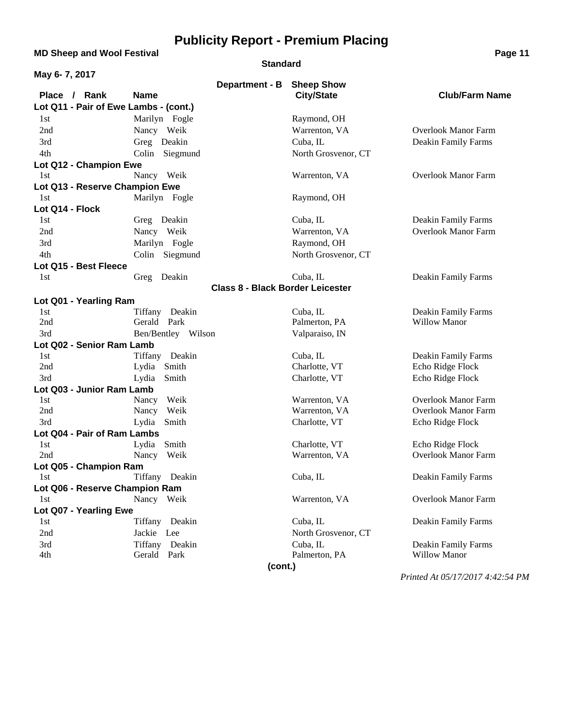**MD Sheep and Wool Festival <b>Page 11 Page 11** 

#### **Standard**

| May 6-7, 2017                         |                                         |                     |                                  |
|---------------------------------------|-----------------------------------------|---------------------|----------------------------------|
|                                       | Department - B                          | <b>Sheep Show</b>   |                                  |
| Place / Rank                          | <b>Name</b>                             | <b>City/State</b>   | <b>Club/Farm Name</b>            |
| Lot Q11 - Pair of Ewe Lambs - (cont.) |                                         |                     |                                  |
| 1st                                   | Marilyn Fogle                           | Raymond, OH         |                                  |
| 2nd                                   | Nancy Weik                              | Warrenton, VA       | <b>Overlook Manor Farm</b>       |
| 3rd                                   | Greg Deakin                             | Cuba, IL            | Deakin Family Farms              |
| 4th                                   | Colin Siegmund                          | North Grosvenor, CT |                                  |
| Lot Q12 - Champion Ewe                |                                         |                     |                                  |
| 1st                                   | Nancy Weik                              | Warrenton, VA       | <b>Overlook Manor Farm</b>       |
| Lot Q13 - Reserve Champion Ewe        |                                         |                     |                                  |
| 1st                                   | Marilyn Fogle                           | Raymond, OH         |                                  |
| Lot Q14 - Flock                       |                                         |                     |                                  |
| 1st                                   | Greg Deakin                             | Cuba, IL            | Deakin Family Farms              |
| 2nd                                   | Nancy Weik                              | Warrenton, VA       | <b>Overlook Manor Farm</b>       |
| 3rd                                   | Marilyn Fogle                           | Raymond, OH         |                                  |
| 4th                                   | Colin Siegmund                          | North Grosvenor, CT |                                  |
| Lot Q15 - Best Fleece                 |                                         |                     |                                  |
| 1st                                   | Greg Deakin                             | Cuba, IL            | Deakin Family Farms              |
|                                       | <b>Class 8 - Black Border Leicester</b> |                     |                                  |
| Lot Q01 - Yearling Ram                |                                         |                     |                                  |
| 1st                                   | Tiffany Deakin                          | Cuba, IL            | Deakin Family Farms              |
| 2nd                                   | Gerald Park                             | Palmerton, PA       | <b>Willow Manor</b>              |
| 3rd                                   | Ben/Bentley Wilson                      | Valparaiso, IN      |                                  |
| Lot Q02 - Senior Ram Lamb             |                                         |                     |                                  |
| 1st                                   | Tiffany Deakin                          | Cuba, IL            | Deakin Family Farms              |
| 2nd                                   | Lydia Smith                             | Charlotte, VT       | Echo Ridge Flock                 |
| 3rd                                   | Smith<br>Lydia                          | Charlotte, VT       | Echo Ridge Flock                 |
| Lot Q03 - Junior Ram Lamb             |                                         |                     |                                  |
| 1st                                   | Nancy<br>Weik                           | Warrenton, VA       | <b>Overlook Manor Farm</b>       |
| 2nd                                   | Nancy<br>Weik                           | Warrenton, VA       | <b>Overlook Manor Farm</b>       |
| 3rd                                   | Lydia Smith                             | Charlotte, VT       | Echo Ridge Flock                 |
| Lot Q04 - Pair of Ram Lambs           |                                         |                     |                                  |
| 1st                                   | Lydia Smith                             | Charlotte, VT       | Echo Ridge Flock                 |
| 2nd                                   | Nancy Weik                              | Warrenton, VA       | <b>Overlook Manor Farm</b>       |
| Lot Q05 - Champion Ram                |                                         |                     |                                  |
| 1st                                   | Tiffany Deakin                          | Cuba, IL            | Deakin Family Farms              |
| Lot Q06 - Reserve Champion Ram        |                                         |                     |                                  |
| 1st                                   | Nancy Weik                              | Warrenton, VA       | <b>Overlook Manor Farm</b>       |
| Lot Q07 - Yearling Ewe                |                                         |                     |                                  |
| 1st                                   | Tiffany Deakin                          | Cuba, IL            | Deakin Family Farms              |
| 2nd                                   | Jackie Lee                              | North Grosvenor, CT |                                  |
| 3rd                                   | Tiffany Deakin                          | Cuba, IL            | Deakin Family Farms              |
| 4th                                   | Gerald Park                             | Palmerton, PA       | <b>Willow Manor</b>              |
|                                       | (cont.)                                 |                     |                                  |
|                                       |                                         |                     | Printed At 05/17/2017 4:42:54 PM |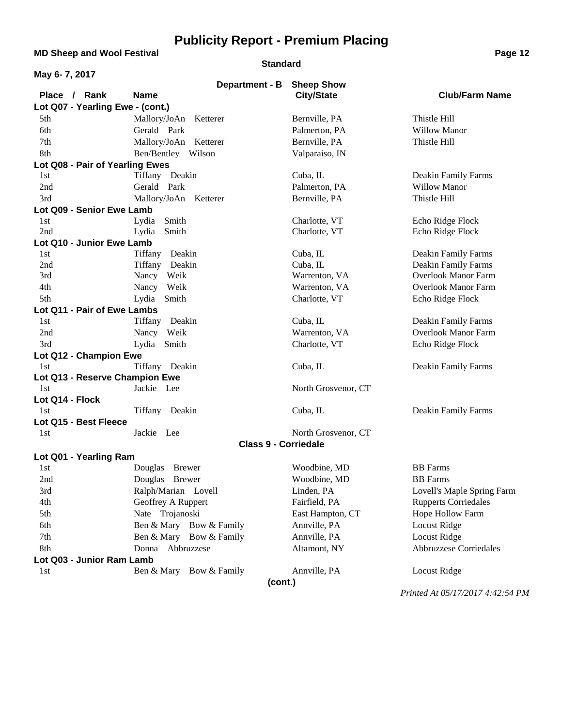**MD Sheep and Wool Festival Page 12**

**Lot Q03 - Junior Ram Lamb**

#### **Standard**

| May 6-7, 2017                    |                             |                     |                             |
|----------------------------------|-----------------------------|---------------------|-----------------------------|
|                                  | Department - B Sheep Show   |                     |                             |
| Place / Rank                     | <b>Name</b>                 | <b>City/State</b>   | <b>Club/Farm Name</b>       |
| Lot Q07 - Yearling Ewe - (cont.) |                             |                     |                             |
| 5th                              | Mallory/JoAn Ketterer       | Bernville, PA       | Thistle Hill                |
| 6th                              | Gerald Park                 | Palmerton, PA       | <b>Willow Manor</b>         |
| 7th                              | Mallory/JoAn Ketterer       | Bernville, PA       | Thistle Hill                |
| 8th                              | Ben/Bentley Wilson          | Valparaiso, IN      |                             |
| Lot Q08 - Pair of Yearling Ewes  |                             |                     |                             |
| 1st                              | Tiffany Deakin              | Cuba, IL            | Deakin Family Farms         |
| 2nd                              | Gerald Park                 | Palmerton, PA       | <b>Willow Manor</b>         |
| 3rd                              | Mallory/JoAn Ketterer       | Bernville, PA       | Thistle Hill                |
| Lot Q09 - Senior Ewe Lamb        |                             |                     |                             |
| 1st                              | Lydia Smith                 | Charlotte, VT       | Echo Ridge Flock            |
| 2nd                              | Lydia<br>Smith              | Charlotte, VT       | Echo Ridge Flock            |
| Lot Q10 - Junior Ewe Lamb        |                             |                     |                             |
| 1st                              | Tiffany Deakin              | Cuba, IL            | Deakin Family Farms         |
| 2nd                              | Tiffany Deakin              | Cuba, IL            | <b>Deakin Family Farms</b>  |
| 3rd                              | Nancy Weik                  | Warrenton, VA       | <b>Overlook Manor Farm</b>  |
| 4th                              | Nancy Weik                  | Warrenton, VA       | <b>Overlook Manor Farm</b>  |
| 5th                              | Lydia Smith                 | Charlotte, VT       | Echo Ridge Flock            |
| Lot Q11 - Pair of Ewe Lambs      |                             |                     |                             |
| 1st                              | Tiffany Deakin              | Cuba, IL            | Deakin Family Farms         |
| 2nd                              | Nancy Weik                  | Warrenton, VA       | <b>Overlook Manor Farm</b>  |
| 3rd                              | Lydia Smith                 | Charlotte, VT       | Echo Ridge Flock            |
| Lot Q12 - Champion Ewe           |                             |                     |                             |
| 1st                              | Tiffany Deakin              | Cuba, IL            | Deakin Family Farms         |
| Lot Q13 - Reserve Champion Ewe   |                             |                     |                             |
| 1st                              | Jackie Lee                  | North Grosvenor, CT |                             |
| Lot Q14 - Flock                  |                             |                     |                             |
| 1st                              | Tiffany Deakin              | Cuba, IL            | Deakin Family Farms         |
| Lot Q15 - Best Fleece            |                             |                     |                             |
| 1st                              | Jackie Lee                  | North Grosvenor, CT |                             |
|                                  | <b>Class 9 - Corriedale</b> |                     |                             |
| Lot Q01 - Yearling Ram           |                             |                     |                             |
| 1st                              | Douglas<br><b>Brewer</b>    | Woodbine, MD        | <b>BB</b> Farms             |
| 2nd                              | Douglas<br><b>Brewer</b>    | Woodbine, MD        | <b>BB</b> Farms             |
| 3rd                              | Ralph/Marian Lovell         | Linden, PA          | Lovell's Maple Spring Farm  |
| 4th                              | Geoffrey A Ruppert          | Fairfield, PA       | <b>Rupperts Corriedales</b> |
| 5th                              | Nate Trojanoski             | East Hampton, CT    | Hope Hollow Farm            |

**(cont.)**

6th Ben & Mary Bow & Family Annville, PA Locust Ridge 7th Ben & Mary Bow & Family Annville, PA Locust Ridge 8th Donna Abbruzzese Altamont, NY Abbruzzese Corriedales

1st Ben & Mary Bow & Family Annville, PA Locust Ridge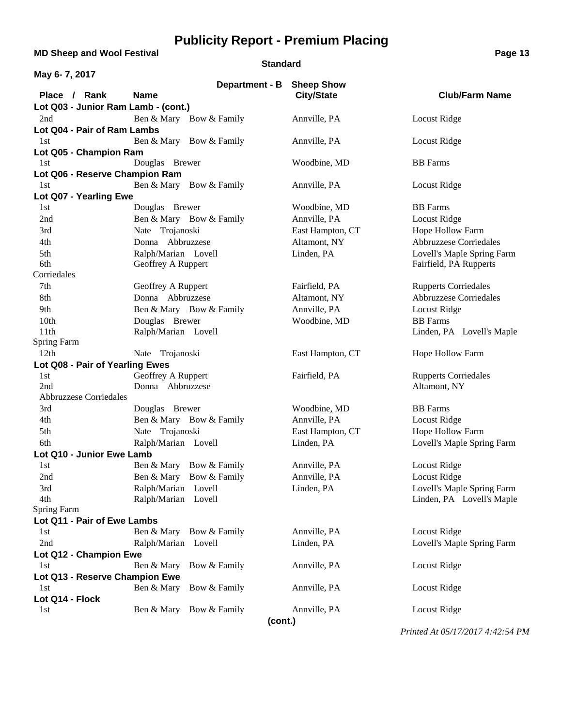**MD Sheep and Wool Festival <b>Page 13** 

#### **Standard**

| May 6-7, 2017                                     |                            |                   |                             |
|---------------------------------------------------|----------------------------|-------------------|-----------------------------|
|                                                   | Department - B Sheep Show  |                   |                             |
| Place / Rank                                      | <b>Name</b>                | <b>City/State</b> | <b>Club/Farm Name</b>       |
| Lot Q03 - Junior Ram Lamb - (cont.)               |                            |                   |                             |
| 2nd                                               | Ben & Mary Bow & Family    | Annville, PA      | Locust Ridge                |
| Lot Q04 - Pair of Ram Lambs                       |                            |                   |                             |
| 1st                                               | Ben & Mary Bow & Family    | Annville, PA      | Locust Ridge                |
| Lot Q05 - Champion Ram                            |                            |                   |                             |
| 1st                                               | Douglas Brewer             | Woodbine, MD      | <b>BB</b> Farms             |
| Lot Q06 - Reserve Champion Ram                    |                            |                   |                             |
| 1st                                               | Ben & Mary Bow & Family    | Annville, PA      | Locust Ridge                |
| Lot Q07 - Yearling Ewe                            |                            |                   |                             |
| 1st                                               | Douglas Brewer             | Woodbine, MD      | <b>BB</b> Farms             |
| 2nd                                               | Ben & Mary Bow & Family    | Annville, PA      | Locust Ridge                |
| 3rd                                               | Nate Trojanoski            | East Hampton, CT  | Hope Hollow Farm            |
| 4th                                               | Donna Abbruzzese           | Altamont, NY      | Abbruzzese Corriedales      |
| 5th                                               | Ralph/Marian Lovell        | Linden, PA        | Lovell's Maple Spring Farm  |
| 6th                                               | Geoffrey A Ruppert         |                   | Fairfield, PA Rupperts      |
| Corriedales                                       |                            |                   |                             |
| 7th                                               | Geoffrey A Ruppert         | Fairfield, PA     | <b>Rupperts Corriedales</b> |
| 8th                                               | Donna Abbruzzese           | Altamont, NY      | Abbruzzese Corriedales      |
| 9th                                               | Ben & Mary Bow & Family    | Annville, PA      | <b>Locust Ridge</b>         |
| 10th                                              | Douglas Brewer             | Woodbine, MD      | <b>BB</b> Farms             |
| 11th                                              | Ralph/Marian Lovell        |                   | Linden, PA Lovell's Maple   |
| Spring Farm                                       |                            |                   |                             |
| 12th                                              | Nate Trojanoski            | East Hampton, CT  | Hope Hollow Farm            |
| Lot Q08 - Pair of Yearling Ewes                   |                            |                   |                             |
| 1st                                               | Geoffrey A Ruppert         | Fairfield, PA     | <b>Rupperts Corriedales</b> |
| 2nd                                               | Donna Abbruzzese           |                   | Altamont, NY                |
| <b>Abbruzzese Corriedales</b>                     |                            |                   |                             |
| 3rd                                               | Douglas Brewer             | Woodbine, MD      | <b>BB</b> Farms             |
| 4th                                               | Ben & Mary Bow & Family    | Annville, PA      | Locust Ridge                |
| 5th                                               | Nate Trojanoski            | East Hampton, CT  | Hope Hollow Farm            |
| 6th                                               | Ralph/Marian Lovell        | Linden, PA        | Lovell's Maple Spring Farm  |
| Lot Q10 - Junior Ewe Lamb                         |                            |                   |                             |
| 1st                                               | Ben & Mary Bow & Family    | Annville, PA      | Locust Ridge                |
| 2nd                                               | Ben & Mary Bow & Family    | Annville, PA      | Locust Ridge                |
| 3rd                                               | Ralph/Marian Lovell        | Linden, PA        | Lovell's Maple Spring Farm  |
| 4th                                               | Ralph/Marian Lovell        |                   | Linden, PA Lovell's Maple   |
| <b>Spring Farm</b><br>Lot Q11 - Pair of Ewe Lambs |                            |                   |                             |
| 1st                                               | Ben & Mary Bow & Family    | Annville, PA      | Locust Ridge                |
| 2nd                                               | Ralph/Marian Lovell        | Linden, PA        | Lovell's Maple Spring Farm  |
| Lot Q12 - Champion Ewe                            |                            |                   |                             |
| 1st                                               | Ben & Mary<br>Bow & Family | Annville, PA      | Locust Ridge                |
| Lot Q13 - Reserve Champion Ewe                    |                            |                   |                             |
| 1st                                               | Bow & Family<br>Ben & Mary | Annville, PA      | Locust Ridge                |
| Lot Q14 - Flock                                   |                            |                   |                             |
| 1st                                               | Ben & Mary Bow & Family    | Annville, PA      | Locust Ridge                |
|                                                   |                            |                   |                             |

**(cont.)**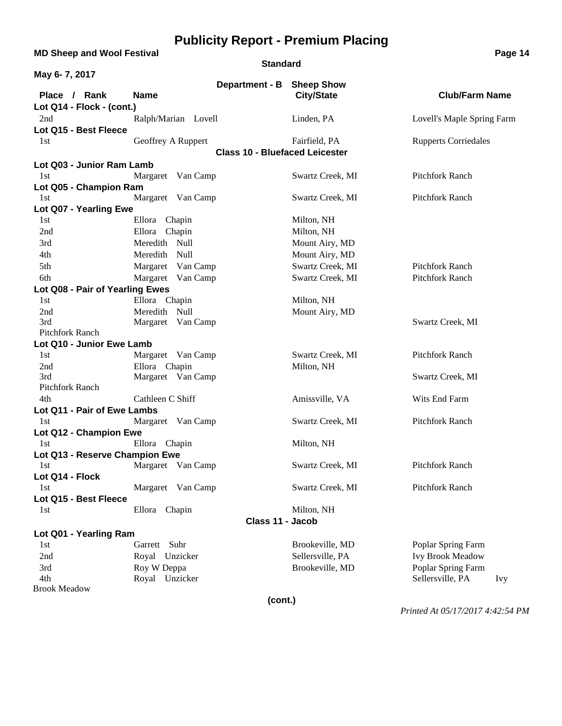**MD Sheep and Wool Festival <b>Page 14 Page 14** 

#### **Standard**

| May 6-7, 2017                   |                     |                                       |                   |                                |
|---------------------------------|---------------------|---------------------------------------|-------------------|--------------------------------|
|                                 |                     | Department - B Sheep Show             |                   |                                |
| Place / Rank                    | <b>Name</b>         |                                       | <b>City/State</b> | <b>Club/Farm Name</b>          |
| Lot Q14 - Flock - (cont.)       |                     |                                       |                   |                                |
| 2nd                             | Ralph/Marian Lovell |                                       | Linden, PA        | Lovell's Maple Spring Farm     |
| Lot Q15 - Best Fleece           |                     |                                       |                   |                                |
| 1st                             | Geoffrey A Ruppert  |                                       | Fairfield, PA     | <b>Rupperts Corriedales</b>    |
|                                 |                     | <b>Class 10 - Bluefaced Leicester</b> |                   |                                |
| Lot Q03 - Junior Ram Lamb       |                     |                                       |                   |                                |
| 1st                             | Margaret Van Camp   |                                       | Swartz Creek, MI  | <b>Pitchfork Ranch</b>         |
| Lot Q05 - Champion Ram          |                     |                                       |                   |                                |
| 1st                             | Margaret Van Camp   |                                       | Swartz Creek, MI  | <b>Pitchfork Ranch</b>         |
| Lot Q07 - Yearling Ewe          |                     |                                       |                   |                                |
| 1st                             | Ellora<br>Chapin    |                                       | Milton, NH        |                                |
| 2nd                             | Ellora Chapin       |                                       | Milton, NH        |                                |
| 3rd                             | Meredith Null       |                                       | Mount Airy, MD    |                                |
| 4th                             | Meredith<br>Null    |                                       | Mount Airy, MD    |                                |
| 5th                             | Margaret Van Camp   |                                       | Swartz Creek, MI  | <b>Pitchfork Ranch</b>         |
| 6th                             | Margaret Van Camp   |                                       | Swartz Creek, MI  | Pitchfork Ranch                |
| Lot Q08 - Pair of Yearling Ewes |                     |                                       |                   |                                |
| 1st                             | Ellora Chapin       |                                       | Milton, NH        |                                |
| 2nd                             | Meredith Null       |                                       | Mount Airy, MD    |                                |
| 3rd                             | Margaret Van Camp   |                                       |                   | Swartz Creek, MI               |
| Pitchfork Ranch                 |                     |                                       |                   |                                |
| Lot Q10 - Junior Ewe Lamb       |                     |                                       |                   |                                |
| 1st                             | Margaret Van Camp   |                                       | Swartz Creek, MI  | Pitchfork Ranch                |
| 2nd                             | Ellora Chapin       |                                       | Milton, NH        |                                |
| 3rd                             | Margaret Van Camp   |                                       |                   | Swartz Creek, MI               |
| Pitchfork Ranch                 |                     |                                       |                   |                                |
| 4th                             | Cathleen C Shiff    |                                       | Amissville, VA    | Wits End Farm                  |
| Lot Q11 - Pair of Ewe Lambs     |                     |                                       |                   |                                |
| 1st                             | Margaret Van Camp   |                                       | Swartz Creek, MI  | Pitchfork Ranch                |
| Lot Q12 - Champion Ewe          |                     |                                       |                   |                                |
| 1st                             | Ellora Chapin       |                                       | Milton, NH        |                                |
| Lot Q13 - Reserve Champion Ewe  |                     |                                       |                   | <b>Pitchfork Ranch</b>         |
| 1st                             | Margaret Van Camp   |                                       | Swartz Creek, MI  |                                |
| Lot Q14 - Flock<br>1st          | Margaret Van Camp   |                                       | Swartz Creek, MI  | Pitchfork Ranch                |
| Lot Q15 - Best Fleece           |                     |                                       |                   |                                |
| 1st                             | Ellora Chapin       |                                       | Milton, NH        |                                |
|                                 |                     | Class 11 - Jacob                      |                   |                                |
|                                 |                     |                                       |                   |                                |
| Lot Q01 - Yearling Ram<br>1st   | Garrett Suhr        |                                       | Brookeville, MD   | Poplar Spring Farm             |
| 2nd                             | Royal Unzicker      |                                       | Sellersville, PA  | <b>Ivy Brook Meadow</b>        |
| 3rd                             | Roy W Deppa         |                                       | Brookeville, MD   | Poplar Spring Farm             |
| 4th                             | Royal Unzicker      |                                       |                   | Sellersville, PA<br><i>Ivy</i> |
| <b>Brook Meadow</b>             |                     |                                       |                   |                                |
|                                 |                     | (cont.)                               |                   |                                |
|                                 |                     |                                       |                   |                                |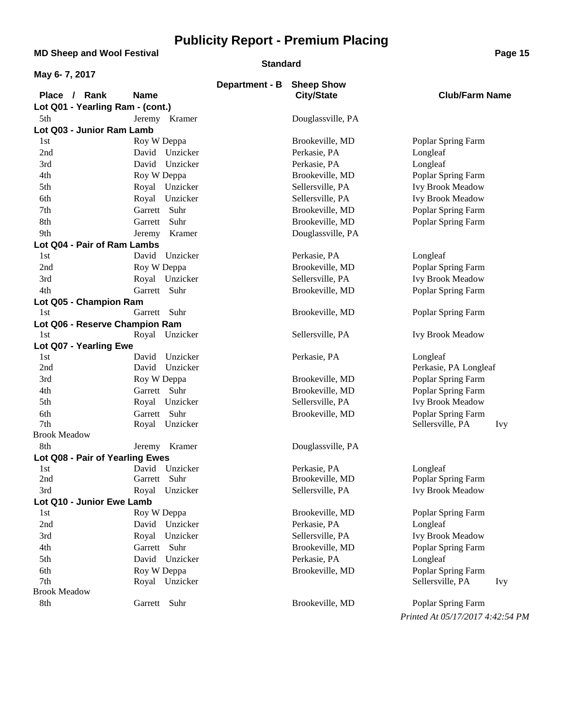**MD Sheep and Wool Festival <b>Page 15 Page 15** 

#### **Standard**

| May 6-7, 2017                    |                                |                |                                     |                                        |
|----------------------------------|--------------------------------|----------------|-------------------------------------|----------------------------------------|
|                                  |                                | Department - B | <b>Sheep Show</b>                   |                                        |
| Place / Rank                     | <b>Name</b>                    |                | <b>City/State</b>                   | <b>Club/Farm Name</b>                  |
| Lot Q01 - Yearling Ram - (cont.) |                                |                |                                     |                                        |
| 5th                              | Jeremy Kramer                  |                | Douglassville, PA                   |                                        |
| Lot Q03 - Junior Ram Lamb        |                                |                |                                     |                                        |
| 1st                              | Roy W Deppa                    |                | Brookeville, MD                     | Poplar Spring Farm                     |
| 2nd                              | David<br>Unzicker              |                | Perkasie, PA                        | Longleaf                               |
| 3rd                              | Unzicker<br>David              |                | Perkasie, PA                        | Longleaf                               |
| 4th                              | Roy W Deppa                    |                | Brookeville, MD                     | Poplar Spring Farm                     |
| 5th                              | Royal Unzicker                 |                | Sellersville, PA                    | <b>Ivy Brook Meadow</b>                |
| 6th                              | Royal Unzicker                 |                | Sellersville, PA                    | <b>Ivy Brook Meadow</b>                |
| 7th                              | Garrett Suhr                   |                | Brookeville, MD                     | Poplar Spring Farm                     |
| 8th                              | Garrett Suhr                   |                | Brookeville, MD                     | Poplar Spring Farm                     |
| 9th                              | Kramer<br>Jeremy               |                | Douglassville, PA                   |                                        |
| Lot Q04 - Pair of Ram Lambs      |                                |                |                                     |                                        |
| 1st                              | David Unzicker                 |                | Perkasie, PA                        | Longleaf                               |
| 2nd                              | Roy W Deppa                    |                | Brookeville, MD                     | Poplar Spring Farm                     |
| 3rd                              | Royal Unzicker                 |                | Sellersville, PA                    | <b>Ivy Brook Meadow</b>                |
| 4th                              | Garrett Suhr                   |                | Brookeville, MD                     | Poplar Spring Farm                     |
| Lot Q05 - Champion Ram           |                                |                |                                     |                                        |
| 1st                              | Garrett Suhr                   |                | Brookeville, MD                     | Poplar Spring Farm                     |
| Lot Q06 - Reserve Champion Ram   |                                |                |                                     |                                        |
| 1st                              | Royal Unzicker                 |                | Sellersville, PA                    | <b>Ivy Brook Meadow</b>                |
| Lot Q07 - Yearling Ewe           |                                |                |                                     |                                        |
| 1st                              | Unzicker<br>David              |                | Perkasie, PA                        | Longleaf                               |
| 2nd                              | Unzicker<br>David              |                |                                     | Perkasie, PA Longleaf                  |
| 3rd                              | Roy W Deppa                    |                | Brookeville, MD                     | Poplar Spring Farm                     |
| 4th                              | Garrett Suhr                   |                | Brookeville, MD<br>Sellersville, PA | Poplar Spring Farm                     |
| 5th                              | Royal Unzicker                 |                |                                     | <b>Ivy Brook Meadow</b>                |
| 6th<br>7th                       | Garrett Suhr<br>Royal Unzicker |                | Brookeville, MD                     | Poplar Spring Farm<br>Sellersville, PA |
| <b>Brook Meadow</b>              |                                |                |                                     | <b>Ivy</b>                             |
| 8th                              | Jeremy Kramer                  |                | Douglassville, PA                   |                                        |
| Lot Q08 - Pair of Yearling Ewes  |                                |                |                                     |                                        |
| 1st                              | David Unzicker                 |                | Perkasie, PA                        | Longleaf                               |
| 2nd                              | Garrett Suhr                   |                | Brookeville, MD                     | Poplar Spring Farm                     |
| 3rd                              | Royal Unzicker                 |                | Sellersville, PA                    | <b>Ivy Brook Meadow</b>                |
| Lot Q10 - Junior Ewe Lamb        |                                |                |                                     |                                        |
| 1st                              | Roy W Deppa                    |                | Brookeville, MD                     | Poplar Spring Farm                     |
| 2nd                              | David Unzicker                 |                | Perkasie, PA                        | Longleaf                               |
| 3rd                              | Royal Unzicker                 |                | Sellersville, PA                    | <b>Ivy Brook Meadow</b>                |
| 4th                              | Garrett Suhr                   |                | Brookeville, MD                     | Poplar Spring Farm                     |
| 5th                              | David Unzicker                 |                | Perkasie, PA                        | Longleaf                               |
| 6th                              | Roy W Deppa                    |                | Brookeville, MD                     | Poplar Spring Farm                     |
| 7th                              | Royal Unzicker                 |                |                                     | Sellersville, PA<br><b>Ivy</b>         |
| <b>Brook Meadow</b>              |                                |                |                                     |                                        |
| 8th                              | Garrett Suhr                   |                | Brookeville, MD                     | Poplar Spring Farm                     |
|                                  |                                |                |                                     | Printed At 05/17/2017 4:42:54 PM       |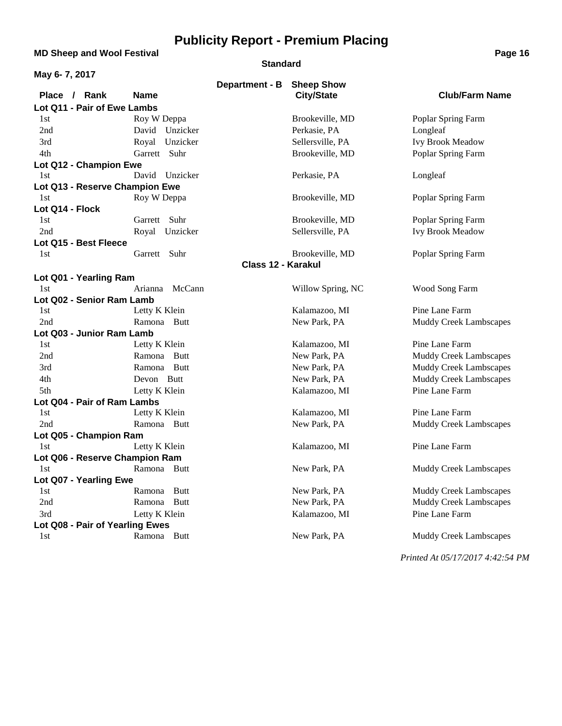**MD Sheep and Wool Festival <b>Page 16**<br> **MD Sheep and Wool Festival** 

#### **Standard**

| May 6-7, 2017                   |                |                           |                   |                               |
|---------------------------------|----------------|---------------------------|-------------------|-------------------------------|
|                                 |                | Department - B            | <b>Sheep Show</b> |                               |
| Place / Rank                    | <b>Name</b>    |                           | <b>City/State</b> | <b>Club/Farm Name</b>         |
| Lot Q11 - Pair of Ewe Lambs     |                |                           |                   |                               |
| 1st                             | Roy W Deppa    |                           | Brookeville, MD   | Poplar Spring Farm            |
| 2nd                             | David Unzicker |                           | Perkasie, PA      | Longleaf                      |
| 3rd                             | Royal Unzicker |                           | Sellersville, PA  | <b>Ivy Brook Meadow</b>       |
| 4th                             | Garrett Suhr   |                           | Brookeville, MD   | Poplar Spring Farm            |
| Lot Q12 - Champion Ewe          |                |                           |                   |                               |
| 1st                             | David Unzicker |                           | Perkasie, PA      | Longleaf                      |
| Lot Q13 - Reserve Champion Ewe  |                |                           |                   |                               |
| 1st                             | Roy W Deppa    |                           | Brookeville, MD   | Poplar Spring Farm            |
| Lot Q14 - Flock                 |                |                           |                   |                               |
| 1st                             | Garrett Suhr   |                           | Brookeville, MD   | Poplar Spring Farm            |
| 2nd                             | Royal Unzicker |                           | Sellersville, PA  | Ivy Brook Meadow              |
| Lot Q15 - Best Fleece           |                |                           |                   |                               |
| 1st                             | Garrett Suhr   |                           | Brookeville, MD   | Poplar Spring Farm            |
|                                 |                | <b>Class 12 - Karakul</b> |                   |                               |
| Lot Q01 - Yearling Ram          |                |                           |                   |                               |
| 1st                             | Arianna McCann |                           | Willow Spring, NC | Wood Song Farm                |
| Lot Q02 - Senior Ram Lamb       |                |                           |                   |                               |
| 1st                             | Letty K Klein  |                           | Kalamazoo, MI     | Pine Lane Farm                |
| 2nd                             | Ramona Butt    |                           | New Park, PA      | <b>Muddy Creek Lambscapes</b> |
| Lot Q03 - Junior Ram Lamb       |                |                           |                   |                               |
| 1st                             | Letty K Klein  |                           | Kalamazoo, MI     | Pine Lane Farm                |
| 2nd                             | Ramona Butt    |                           | New Park, PA      | Muddy Creek Lambscapes        |
| 3rd                             | Ramona Butt    |                           | New Park, PA      | <b>Muddy Creek Lambscapes</b> |
| 4th                             | Devon Butt     |                           | New Park, PA      | <b>Muddy Creek Lambscapes</b> |
| 5th                             | Letty K Klein  |                           | Kalamazoo, MI     | Pine Lane Farm                |
| Lot Q04 - Pair of Ram Lambs     |                |                           |                   |                               |
| 1st                             | Letty K Klein  |                           | Kalamazoo, MI     | Pine Lane Farm                |
| 2nd                             | Ramona Butt    |                           | New Park, PA      | <b>Muddy Creek Lambscapes</b> |
| Lot Q05 - Champion Ram          |                |                           |                   |                               |
| 1st                             | Letty K Klein  |                           | Kalamazoo, MI     | Pine Lane Farm                |
| Lot Q06 - Reserve Champion Ram  |                |                           |                   |                               |
| 1st                             | Ramona Butt    |                           | New Park, PA      | <b>Muddy Creek Lambscapes</b> |
| Lot Q07 - Yearling Ewe          |                |                           |                   |                               |
| 1st                             | Ramona<br>Butt |                           | New Park, PA      | <b>Muddy Creek Lambscapes</b> |
| 2nd                             | Ramona Butt    |                           | New Park, PA      | <b>Muddy Creek Lambscapes</b> |
| 3rd                             | Letty K Klein  |                           | Kalamazoo, MI     | Pine Lane Farm                |
| Lot Q08 - Pair of Yearling Ewes |                |                           |                   |                               |
| 1st                             | Ramona Butt    |                           | New Park, PA      | Muddy Creek Lambscapes        |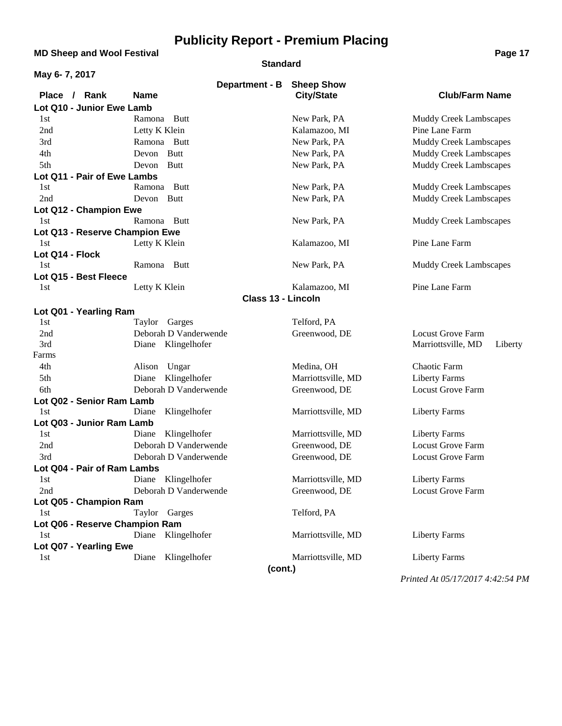### **MD Sheep and Wool Festival <b>Page 17 Page 17**

#### **Standard**

| May 6-7, 2017                  |                           |                    |                               |
|--------------------------------|---------------------------|--------------------|-------------------------------|
|                                | Department - B            | <b>Sheep Show</b>  |                               |
| Place / Rank                   | <b>Name</b>               | <b>City/State</b>  | <b>Club/Farm Name</b>         |
| Lot Q10 - Junior Ewe Lamb      |                           |                    |                               |
| 1st                            | Ramona Butt               | New Park, PA       | Muddy Creek Lambscapes        |
| 2nd                            | Letty K Klein             | Kalamazoo, MI      | Pine Lane Farm                |
| 3rd                            | Ramona Butt               | New Park, PA       | <b>Muddy Creek Lambscapes</b> |
| 4th                            | Devon Butt                | New Park, PA       | <b>Muddy Creek Lambscapes</b> |
| 5th                            | Devon<br>Butt             | New Park, PA       | <b>Muddy Creek Lambscapes</b> |
| Lot Q11 - Pair of Ewe Lambs    |                           |                    |                               |
| 1st                            | Ramona Butt               | New Park, PA       | <b>Muddy Creek Lambscapes</b> |
| 2nd                            | Devon Butt                | New Park, PA       | <b>Muddy Creek Lambscapes</b> |
| Lot Q12 - Champion Ewe         |                           |                    |                               |
| 1st                            | Ramona Butt               | New Park, PA       | Muddy Creek Lambscapes        |
| Lot Q13 - Reserve Champion Ewe |                           |                    |                               |
| 1st                            | Letty K Klein             | Kalamazoo, MI      | Pine Lane Farm                |
| Lot Q14 - Flock                |                           |                    |                               |
| 1st                            | Ramona Butt               | New Park, PA       | Muddy Creek Lambscapes        |
| Lot Q15 - Best Fleece          |                           |                    |                               |
| 1st                            | Letty K Klein             | Kalamazoo, MI      | Pine Lane Farm                |
|                                | <b>Class 13 - Lincoln</b> |                    |                               |
| Lot Q01 - Yearling Ram         |                           |                    |                               |
| 1st                            | Taylor Garges             | Telford, PA        |                               |
| 2nd                            | Deborah D Vanderwende     | Greenwood, DE      | <b>Locust Grove Farm</b>      |
| 3rd                            | Diane Klingelhofer        |                    | Marriottsville, MD<br>Liberty |
| Farms                          |                           |                    |                               |
| 4th                            | Alison<br>Ungar           | Medina, OH         | Chaotic Farm                  |
| 5th                            | Klingelhofer<br>Diane     | Marriottsville, MD | <b>Liberty Farms</b>          |
| 6th                            | Deborah D Vanderwende     | Greenwood, DE      | <b>Locust Grove Farm</b>      |
| Lot Q02 - Senior Ram Lamb      |                           |                    |                               |
| 1st                            | Klingelhofer<br>Diane     | Marriottsville, MD | <b>Liberty Farms</b>          |
| Lot Q03 - Junior Ram Lamb      |                           |                    |                               |
| 1st                            | Klingelhofer<br>Diane     | Marriottsville, MD | <b>Liberty Farms</b>          |
| 2nd                            | Deborah D Vanderwende     | Greenwood, DE      | <b>Locust Grove Farm</b>      |
| 3rd                            | Deborah D Vanderwende     | Greenwood, DE      | <b>Locust Grove Farm</b>      |
| Lot Q04 - Pair of Ram Lambs    |                           |                    |                               |
| 1st                            | Diane Klingelhofer        | Marriottsville, MD | <b>Liberty Farms</b>          |
| 2nd                            | Deborah D Vanderwende     | Greenwood, DE      | <b>Locust Grove Farm</b>      |
| Lot Q05 - Champion Ram         |                           |                    |                               |
| 1st                            | Taylor Garges             | Telford, PA        |                               |
| Lot Q06 - Reserve Champion Ram |                           |                    |                               |
| 1st                            | Diane Klingelhofer        | Marriottsville, MD | <b>Liberty Farms</b>          |
| Lot Q07 - Yearling Ewe         |                           |                    |                               |
| 1st                            | Klingelhofer<br>Diane     | Marriottsville, MD | <b>Liberty Farms</b>          |
|                                | (cont.)                   |                    |                               |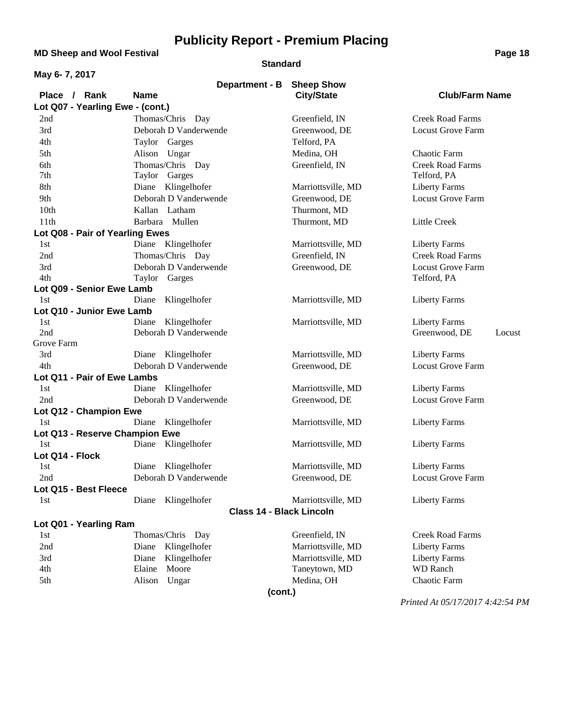**MD Sheep and Wool Festival <b>Page 18** 

#### **Standard**

| May 6-7, 2017                    |                                 |                    |                          |
|----------------------------------|---------------------------------|--------------------|--------------------------|
|                                  | <b>Department - B</b>           | <b>Sheep Show</b>  |                          |
| Place / Rank                     | <b>Name</b>                     | <b>City/State</b>  | <b>Club/Farm Name</b>    |
| Lot Q07 - Yearling Ewe - (cont.) |                                 |                    |                          |
| 2nd                              | Thomas/Chris Day                | Greenfield, IN     | <b>Creek Road Farms</b>  |
| 3rd                              | Deborah D Vanderwende           | Greenwood, DE      | <b>Locust Grove Farm</b> |
| 4th                              | Taylor Garges                   | Telford, PA        |                          |
| 5th                              | Alison Ungar                    | Medina, OH         | Chaotic Farm             |
| 6th                              | Thomas/Chris Day                | Greenfield, IN     | <b>Creek Road Farms</b>  |
| 7th                              | Taylor Garges                   |                    | Telford, PA              |
| 8th                              | Diane Klingelhofer              | Marriottsville, MD | <b>Liberty Farms</b>     |
| 9th                              | Deborah D Vanderwende           | Greenwood, DE      | <b>Locust Grove Farm</b> |
| 10th                             | Kallan Latham                   | Thurmont, MD       |                          |
| 11th                             | Barbara Mullen                  | Thurmont, MD       | Little Creek             |
| Lot Q08 - Pair of Yearling Ewes  |                                 |                    |                          |
| 1st                              | Diane Klingelhofer              | Marriottsville, MD | <b>Liberty Farms</b>     |
| 2nd                              | Thomas/Chris Day                | Greenfield, IN     | <b>Creek Road Farms</b>  |
| 3rd                              | Deborah D Vanderwende           | Greenwood, DE      | <b>Locust Grove Farm</b> |
| 4th                              | Taylor Garges                   |                    | Telford, PA              |
| Lot Q09 - Senior Ewe Lamb        |                                 |                    |                          |
| 1st                              | Klingelhofer<br>Diane           | Marriottsville, MD | <b>Liberty Farms</b>     |
| Lot Q10 - Junior Ewe Lamb        |                                 |                    |                          |
| 1st                              | Klingelhofer<br>Diane           | Marriottsville, MD | <b>Liberty Farms</b>     |
| 2nd                              | Deborah D Vanderwende           |                    | Greenwood, DE<br>Locust  |
| Grove Farm                       |                                 |                    |                          |
| 3rd                              | Diane Klingelhofer              | Marriottsville, MD | <b>Liberty Farms</b>     |
| 4th                              | Deborah D Vanderwende           | Greenwood, DE      | <b>Locust Grove Farm</b> |
| Lot Q11 - Pair of Ewe Lambs      |                                 |                    |                          |
| 1st                              | Diane Klingelhofer              | Marriottsville, MD | <b>Liberty Farms</b>     |
| 2nd                              | Deborah D Vanderwende           | Greenwood, DE      | <b>Locust Grove Farm</b> |
| Lot Q12 - Champion Ewe           |                                 |                    |                          |
| 1st                              | Klingelhofer<br>Diane           | Marriottsville, MD | <b>Liberty Farms</b>     |
| Lot Q13 - Reserve Champion Ewe   |                                 |                    |                          |
| 1st                              | Diane Klingelhofer              | Marriottsville, MD | <b>Liberty Farms</b>     |
| Lot Q14 - Flock                  |                                 |                    |                          |
| 1st                              | Diane Klingelhofer              | Marriottsville, MD | <b>Liberty Farms</b>     |
| 2nd                              | Deborah D Vanderwende           | Greenwood, DE      | Locust Grove Farm        |
| Lot Q15 - Best Fleece            |                                 |                    |                          |
| 1st                              | Diane Klingelhofer              | Marriottsville, MD | <b>Liberty Farms</b>     |
|                                  | <b>Class 14 - Black Lincoln</b> |                    |                          |
| Lot Q01 - Yearling Ram           |                                 |                    |                          |
| 1st                              | Thomas/Chris Day                | Greenfield, IN     | <b>Creek Road Farms</b>  |
| 2nd                              | Diane<br>Klingelhofer           | Marriottsville, MD | <b>Liberty Farms</b>     |
| 3rd                              | Klingelhofer<br>Diane           | Marriottsville, MD | <b>Liberty Farms</b>     |
| 4th                              | Moore<br>Elaine                 | Taneytown, MD      | <b>WD</b> Ranch          |
| 5th                              | Alison<br>Ungar                 | Medina, OH         | Chaotic Farm             |
|                                  | (cont.)                         |                    |                          |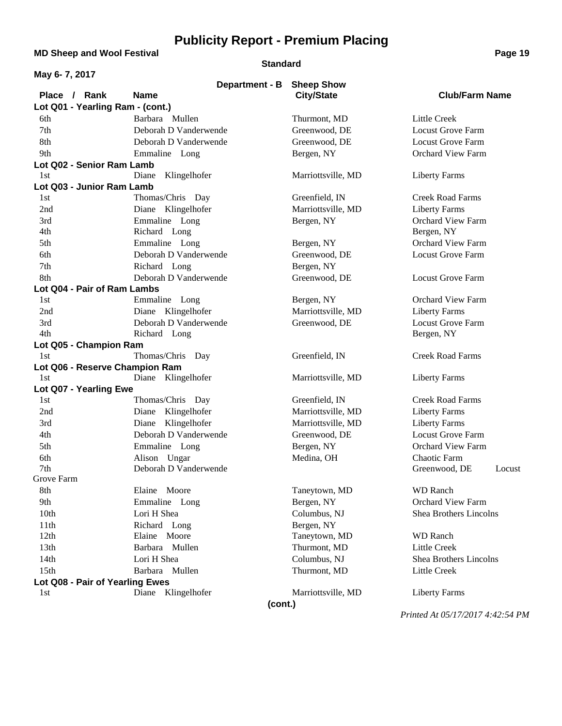**MD Sheep and Wool Festival <b>Page 19 Page 19** 

#### **Standard**

| <b>Sheep Show</b><br><b>Department - B</b><br><b>Club/Farm Name</b><br>Place / Rank<br><b>Name</b><br><b>City/State</b><br>Lot Q01 - Yearling Ram - (cont.)<br>Barbara Mullen<br>Thurmont, MD<br>Little Creek<br>6th<br>7th<br>Deborah D Vanderwende<br><b>Locust Grove Farm</b><br>Greenwood, DE<br>8th<br><b>Locust Grove Farm</b><br>Deborah D Vanderwende<br>Greenwood, DE<br>9th<br><b>Orchard View Farm</b><br>Emmaline Long<br>Bergen, NY<br>Lot Q02 - Senior Ram Lamb<br>Diane<br>Klingelhofer<br>Marriottsville, MD<br><b>Liberty Farms</b><br>1st<br>Lot Q03 - Junior Ram Lamb<br>Thomas/Chris Day<br>Greenfield, IN<br><b>Creek Road Farms</b><br>1st<br>Diane Klingelhofer<br>Marriottsville, MD<br><b>Liberty Farms</b><br>2nd<br>Emmaline Long<br><b>Orchard View Farm</b><br>3rd<br>Bergen, NY<br>4th<br>Richard Long<br>Bergen, NY<br><b>Orchard View Farm</b><br>5th<br>Emmaline Long<br>Bergen, NY<br>Deborah D Vanderwende<br><b>Locust Grove Farm</b><br>6th<br>Greenwood, DE<br>7th<br>Bergen, NY<br>Richard Long<br>8th<br>Deborah D Vanderwende<br>Greenwood, DE<br><b>Locust Grove Farm</b><br>Lot Q04 - Pair of Ram Lambs<br><b>Orchard View Farm</b><br>Emmaline Long<br>Bergen, NY<br>1st<br>Diane Klingelhofer<br>Marriottsville, MD<br>2nd<br><b>Liberty Farms</b><br>Deborah D Vanderwende<br><b>Locust Grove Farm</b><br>3rd<br>Greenwood, DE<br>4th<br>Richard Long<br>Bergen, NY<br>Lot Q05 - Champion Ram<br>Greenfield, IN<br><b>Creek Road Farms</b><br>Thomas/Chris Day<br>1st<br>Lot Q06 - Reserve Champion Ram<br>Diane Klingelhofer<br>Marriottsville, MD<br><b>Liberty Farms</b><br>1st<br>Lot Q07 - Yearling Ewe<br>Thomas/Chris Day<br><b>Creek Road Farms</b><br>Greenfield, IN<br>1st<br>Marriottsville, MD<br>Diane<br>Klingelhofer<br><b>Liberty Farms</b><br>2nd<br>Klingelhofer<br>Marriottsville, MD<br><b>Liberty Farms</b><br>3rd<br>Diane<br>Deborah D Vanderwende<br><b>Locust Grove Farm</b><br>4th<br>Greenwood, DE<br>5th<br><b>Orchard View Farm</b><br>Emmaline Long<br>Bergen, NY<br>Alison Ungar<br>Medina, OH<br><b>Chaotic Farm</b><br>6th<br>Deborah D Vanderwende<br>7th<br>Greenwood, DE<br>Locust<br>Grove Farm<br>Taneytown, MD<br><b>WD</b> Ranch<br>Elaine Moore<br>8th<br>9th<br>Emmaline Long<br>Bergen, NY<br><b>Orchard View Farm</b><br>10th<br>Lori H Shea<br>Columbus, NJ<br>Shea Brothers Lincolns<br>Bergen, NY<br>11th<br>Richard Long<br>12th<br>Elaine Moore<br>Taneytown, MD<br><b>WD</b> Ranch<br>13th<br>Barbara Mullen<br>Thurmont, MD<br>Little Creek<br>14th<br>Lori H Shea<br>Columbus, NJ<br><b>Shea Brothers Lincolns</b><br>15 <sup>th</sup><br>Barbara Mullen<br>Thurmont, MD<br>Little Creek<br>Lot Q08 - Pair of Yearling Ewes<br>Diane Klingelhofer<br>Marriottsville, MD<br><b>Liberty Farms</b><br>1st<br>(cont.) | May 6-7, 2017 |  |  |
|---------------------------------------------------------------------------------------------------------------------------------------------------------------------------------------------------------------------------------------------------------------------------------------------------------------------------------------------------------------------------------------------------------------------------------------------------------------------------------------------------------------------------------------------------------------------------------------------------------------------------------------------------------------------------------------------------------------------------------------------------------------------------------------------------------------------------------------------------------------------------------------------------------------------------------------------------------------------------------------------------------------------------------------------------------------------------------------------------------------------------------------------------------------------------------------------------------------------------------------------------------------------------------------------------------------------------------------------------------------------------------------------------------------------------------------------------------------------------------------------------------------------------------------------------------------------------------------------------------------------------------------------------------------------------------------------------------------------------------------------------------------------------------------------------------------------------------------------------------------------------------------------------------------------------------------------------------------------------------------------------------------------------------------------------------------------------------------------------------------------------------------------------------------------------------------------------------------------------------------------------------------------------------------------------------------------------------------------------------------------------------------------------------------------------------------------------------------------------------------------------------------------------------------------------------------------------------------------------------------------------------------------------------------------------------------------------------------------------------------------------------------------------------------------------------------------|---------------|--|--|
|                                                                                                                                                                                                                                                                                                                                                                                                                                                                                                                                                                                                                                                                                                                                                                                                                                                                                                                                                                                                                                                                                                                                                                                                                                                                                                                                                                                                                                                                                                                                                                                                                                                                                                                                                                                                                                                                                                                                                                                                                                                                                                                                                                                                                                                                                                                                                                                                                                                                                                                                                                                                                                                                                                                                                                                                                     |               |  |  |
|                                                                                                                                                                                                                                                                                                                                                                                                                                                                                                                                                                                                                                                                                                                                                                                                                                                                                                                                                                                                                                                                                                                                                                                                                                                                                                                                                                                                                                                                                                                                                                                                                                                                                                                                                                                                                                                                                                                                                                                                                                                                                                                                                                                                                                                                                                                                                                                                                                                                                                                                                                                                                                                                                                                                                                                                                     |               |  |  |
|                                                                                                                                                                                                                                                                                                                                                                                                                                                                                                                                                                                                                                                                                                                                                                                                                                                                                                                                                                                                                                                                                                                                                                                                                                                                                                                                                                                                                                                                                                                                                                                                                                                                                                                                                                                                                                                                                                                                                                                                                                                                                                                                                                                                                                                                                                                                                                                                                                                                                                                                                                                                                                                                                                                                                                                                                     |               |  |  |
|                                                                                                                                                                                                                                                                                                                                                                                                                                                                                                                                                                                                                                                                                                                                                                                                                                                                                                                                                                                                                                                                                                                                                                                                                                                                                                                                                                                                                                                                                                                                                                                                                                                                                                                                                                                                                                                                                                                                                                                                                                                                                                                                                                                                                                                                                                                                                                                                                                                                                                                                                                                                                                                                                                                                                                                                                     |               |  |  |
|                                                                                                                                                                                                                                                                                                                                                                                                                                                                                                                                                                                                                                                                                                                                                                                                                                                                                                                                                                                                                                                                                                                                                                                                                                                                                                                                                                                                                                                                                                                                                                                                                                                                                                                                                                                                                                                                                                                                                                                                                                                                                                                                                                                                                                                                                                                                                                                                                                                                                                                                                                                                                                                                                                                                                                                                                     |               |  |  |
|                                                                                                                                                                                                                                                                                                                                                                                                                                                                                                                                                                                                                                                                                                                                                                                                                                                                                                                                                                                                                                                                                                                                                                                                                                                                                                                                                                                                                                                                                                                                                                                                                                                                                                                                                                                                                                                                                                                                                                                                                                                                                                                                                                                                                                                                                                                                                                                                                                                                                                                                                                                                                                                                                                                                                                                                                     |               |  |  |
|                                                                                                                                                                                                                                                                                                                                                                                                                                                                                                                                                                                                                                                                                                                                                                                                                                                                                                                                                                                                                                                                                                                                                                                                                                                                                                                                                                                                                                                                                                                                                                                                                                                                                                                                                                                                                                                                                                                                                                                                                                                                                                                                                                                                                                                                                                                                                                                                                                                                                                                                                                                                                                                                                                                                                                                                                     |               |  |  |
|                                                                                                                                                                                                                                                                                                                                                                                                                                                                                                                                                                                                                                                                                                                                                                                                                                                                                                                                                                                                                                                                                                                                                                                                                                                                                                                                                                                                                                                                                                                                                                                                                                                                                                                                                                                                                                                                                                                                                                                                                                                                                                                                                                                                                                                                                                                                                                                                                                                                                                                                                                                                                                                                                                                                                                                                                     |               |  |  |
|                                                                                                                                                                                                                                                                                                                                                                                                                                                                                                                                                                                                                                                                                                                                                                                                                                                                                                                                                                                                                                                                                                                                                                                                                                                                                                                                                                                                                                                                                                                                                                                                                                                                                                                                                                                                                                                                                                                                                                                                                                                                                                                                                                                                                                                                                                                                                                                                                                                                                                                                                                                                                                                                                                                                                                                                                     |               |  |  |
|                                                                                                                                                                                                                                                                                                                                                                                                                                                                                                                                                                                                                                                                                                                                                                                                                                                                                                                                                                                                                                                                                                                                                                                                                                                                                                                                                                                                                                                                                                                                                                                                                                                                                                                                                                                                                                                                                                                                                                                                                                                                                                                                                                                                                                                                                                                                                                                                                                                                                                                                                                                                                                                                                                                                                                                                                     |               |  |  |
|                                                                                                                                                                                                                                                                                                                                                                                                                                                                                                                                                                                                                                                                                                                                                                                                                                                                                                                                                                                                                                                                                                                                                                                                                                                                                                                                                                                                                                                                                                                                                                                                                                                                                                                                                                                                                                                                                                                                                                                                                                                                                                                                                                                                                                                                                                                                                                                                                                                                                                                                                                                                                                                                                                                                                                                                                     |               |  |  |
|                                                                                                                                                                                                                                                                                                                                                                                                                                                                                                                                                                                                                                                                                                                                                                                                                                                                                                                                                                                                                                                                                                                                                                                                                                                                                                                                                                                                                                                                                                                                                                                                                                                                                                                                                                                                                                                                                                                                                                                                                                                                                                                                                                                                                                                                                                                                                                                                                                                                                                                                                                                                                                                                                                                                                                                                                     |               |  |  |
|                                                                                                                                                                                                                                                                                                                                                                                                                                                                                                                                                                                                                                                                                                                                                                                                                                                                                                                                                                                                                                                                                                                                                                                                                                                                                                                                                                                                                                                                                                                                                                                                                                                                                                                                                                                                                                                                                                                                                                                                                                                                                                                                                                                                                                                                                                                                                                                                                                                                                                                                                                                                                                                                                                                                                                                                                     |               |  |  |
|                                                                                                                                                                                                                                                                                                                                                                                                                                                                                                                                                                                                                                                                                                                                                                                                                                                                                                                                                                                                                                                                                                                                                                                                                                                                                                                                                                                                                                                                                                                                                                                                                                                                                                                                                                                                                                                                                                                                                                                                                                                                                                                                                                                                                                                                                                                                                                                                                                                                                                                                                                                                                                                                                                                                                                                                                     |               |  |  |
|                                                                                                                                                                                                                                                                                                                                                                                                                                                                                                                                                                                                                                                                                                                                                                                                                                                                                                                                                                                                                                                                                                                                                                                                                                                                                                                                                                                                                                                                                                                                                                                                                                                                                                                                                                                                                                                                                                                                                                                                                                                                                                                                                                                                                                                                                                                                                                                                                                                                                                                                                                                                                                                                                                                                                                                                                     |               |  |  |
|                                                                                                                                                                                                                                                                                                                                                                                                                                                                                                                                                                                                                                                                                                                                                                                                                                                                                                                                                                                                                                                                                                                                                                                                                                                                                                                                                                                                                                                                                                                                                                                                                                                                                                                                                                                                                                                                                                                                                                                                                                                                                                                                                                                                                                                                                                                                                                                                                                                                                                                                                                                                                                                                                                                                                                                                                     |               |  |  |
|                                                                                                                                                                                                                                                                                                                                                                                                                                                                                                                                                                                                                                                                                                                                                                                                                                                                                                                                                                                                                                                                                                                                                                                                                                                                                                                                                                                                                                                                                                                                                                                                                                                                                                                                                                                                                                                                                                                                                                                                                                                                                                                                                                                                                                                                                                                                                                                                                                                                                                                                                                                                                                                                                                                                                                                                                     |               |  |  |
|                                                                                                                                                                                                                                                                                                                                                                                                                                                                                                                                                                                                                                                                                                                                                                                                                                                                                                                                                                                                                                                                                                                                                                                                                                                                                                                                                                                                                                                                                                                                                                                                                                                                                                                                                                                                                                                                                                                                                                                                                                                                                                                                                                                                                                                                                                                                                                                                                                                                                                                                                                                                                                                                                                                                                                                                                     |               |  |  |
|                                                                                                                                                                                                                                                                                                                                                                                                                                                                                                                                                                                                                                                                                                                                                                                                                                                                                                                                                                                                                                                                                                                                                                                                                                                                                                                                                                                                                                                                                                                                                                                                                                                                                                                                                                                                                                                                                                                                                                                                                                                                                                                                                                                                                                                                                                                                                                                                                                                                                                                                                                                                                                                                                                                                                                                                                     |               |  |  |
|                                                                                                                                                                                                                                                                                                                                                                                                                                                                                                                                                                                                                                                                                                                                                                                                                                                                                                                                                                                                                                                                                                                                                                                                                                                                                                                                                                                                                                                                                                                                                                                                                                                                                                                                                                                                                                                                                                                                                                                                                                                                                                                                                                                                                                                                                                                                                                                                                                                                                                                                                                                                                                                                                                                                                                                                                     |               |  |  |
|                                                                                                                                                                                                                                                                                                                                                                                                                                                                                                                                                                                                                                                                                                                                                                                                                                                                                                                                                                                                                                                                                                                                                                                                                                                                                                                                                                                                                                                                                                                                                                                                                                                                                                                                                                                                                                                                                                                                                                                                                                                                                                                                                                                                                                                                                                                                                                                                                                                                                                                                                                                                                                                                                                                                                                                                                     |               |  |  |
|                                                                                                                                                                                                                                                                                                                                                                                                                                                                                                                                                                                                                                                                                                                                                                                                                                                                                                                                                                                                                                                                                                                                                                                                                                                                                                                                                                                                                                                                                                                                                                                                                                                                                                                                                                                                                                                                                                                                                                                                                                                                                                                                                                                                                                                                                                                                                                                                                                                                                                                                                                                                                                                                                                                                                                                                                     |               |  |  |
|                                                                                                                                                                                                                                                                                                                                                                                                                                                                                                                                                                                                                                                                                                                                                                                                                                                                                                                                                                                                                                                                                                                                                                                                                                                                                                                                                                                                                                                                                                                                                                                                                                                                                                                                                                                                                                                                                                                                                                                                                                                                                                                                                                                                                                                                                                                                                                                                                                                                                                                                                                                                                                                                                                                                                                                                                     |               |  |  |
|                                                                                                                                                                                                                                                                                                                                                                                                                                                                                                                                                                                                                                                                                                                                                                                                                                                                                                                                                                                                                                                                                                                                                                                                                                                                                                                                                                                                                                                                                                                                                                                                                                                                                                                                                                                                                                                                                                                                                                                                                                                                                                                                                                                                                                                                                                                                                                                                                                                                                                                                                                                                                                                                                                                                                                                                                     |               |  |  |
|                                                                                                                                                                                                                                                                                                                                                                                                                                                                                                                                                                                                                                                                                                                                                                                                                                                                                                                                                                                                                                                                                                                                                                                                                                                                                                                                                                                                                                                                                                                                                                                                                                                                                                                                                                                                                                                                                                                                                                                                                                                                                                                                                                                                                                                                                                                                                                                                                                                                                                                                                                                                                                                                                                                                                                                                                     |               |  |  |
|                                                                                                                                                                                                                                                                                                                                                                                                                                                                                                                                                                                                                                                                                                                                                                                                                                                                                                                                                                                                                                                                                                                                                                                                                                                                                                                                                                                                                                                                                                                                                                                                                                                                                                                                                                                                                                                                                                                                                                                                                                                                                                                                                                                                                                                                                                                                                                                                                                                                                                                                                                                                                                                                                                                                                                                                                     |               |  |  |
|                                                                                                                                                                                                                                                                                                                                                                                                                                                                                                                                                                                                                                                                                                                                                                                                                                                                                                                                                                                                                                                                                                                                                                                                                                                                                                                                                                                                                                                                                                                                                                                                                                                                                                                                                                                                                                                                                                                                                                                                                                                                                                                                                                                                                                                                                                                                                                                                                                                                                                                                                                                                                                                                                                                                                                                                                     |               |  |  |
|                                                                                                                                                                                                                                                                                                                                                                                                                                                                                                                                                                                                                                                                                                                                                                                                                                                                                                                                                                                                                                                                                                                                                                                                                                                                                                                                                                                                                                                                                                                                                                                                                                                                                                                                                                                                                                                                                                                                                                                                                                                                                                                                                                                                                                                                                                                                                                                                                                                                                                                                                                                                                                                                                                                                                                                                                     |               |  |  |
|                                                                                                                                                                                                                                                                                                                                                                                                                                                                                                                                                                                                                                                                                                                                                                                                                                                                                                                                                                                                                                                                                                                                                                                                                                                                                                                                                                                                                                                                                                                                                                                                                                                                                                                                                                                                                                                                                                                                                                                                                                                                                                                                                                                                                                                                                                                                                                                                                                                                                                                                                                                                                                                                                                                                                                                                                     |               |  |  |
|                                                                                                                                                                                                                                                                                                                                                                                                                                                                                                                                                                                                                                                                                                                                                                                                                                                                                                                                                                                                                                                                                                                                                                                                                                                                                                                                                                                                                                                                                                                                                                                                                                                                                                                                                                                                                                                                                                                                                                                                                                                                                                                                                                                                                                                                                                                                                                                                                                                                                                                                                                                                                                                                                                                                                                                                                     |               |  |  |
|                                                                                                                                                                                                                                                                                                                                                                                                                                                                                                                                                                                                                                                                                                                                                                                                                                                                                                                                                                                                                                                                                                                                                                                                                                                                                                                                                                                                                                                                                                                                                                                                                                                                                                                                                                                                                                                                                                                                                                                                                                                                                                                                                                                                                                                                                                                                                                                                                                                                                                                                                                                                                                                                                                                                                                                                                     |               |  |  |
|                                                                                                                                                                                                                                                                                                                                                                                                                                                                                                                                                                                                                                                                                                                                                                                                                                                                                                                                                                                                                                                                                                                                                                                                                                                                                                                                                                                                                                                                                                                                                                                                                                                                                                                                                                                                                                                                                                                                                                                                                                                                                                                                                                                                                                                                                                                                                                                                                                                                                                                                                                                                                                                                                                                                                                                                                     |               |  |  |
|                                                                                                                                                                                                                                                                                                                                                                                                                                                                                                                                                                                                                                                                                                                                                                                                                                                                                                                                                                                                                                                                                                                                                                                                                                                                                                                                                                                                                                                                                                                                                                                                                                                                                                                                                                                                                                                                                                                                                                                                                                                                                                                                                                                                                                                                                                                                                                                                                                                                                                                                                                                                                                                                                                                                                                                                                     |               |  |  |
|                                                                                                                                                                                                                                                                                                                                                                                                                                                                                                                                                                                                                                                                                                                                                                                                                                                                                                                                                                                                                                                                                                                                                                                                                                                                                                                                                                                                                                                                                                                                                                                                                                                                                                                                                                                                                                                                                                                                                                                                                                                                                                                                                                                                                                                                                                                                                                                                                                                                                                                                                                                                                                                                                                                                                                                                                     |               |  |  |
|                                                                                                                                                                                                                                                                                                                                                                                                                                                                                                                                                                                                                                                                                                                                                                                                                                                                                                                                                                                                                                                                                                                                                                                                                                                                                                                                                                                                                                                                                                                                                                                                                                                                                                                                                                                                                                                                                                                                                                                                                                                                                                                                                                                                                                                                                                                                                                                                                                                                                                                                                                                                                                                                                                                                                                                                                     |               |  |  |
|                                                                                                                                                                                                                                                                                                                                                                                                                                                                                                                                                                                                                                                                                                                                                                                                                                                                                                                                                                                                                                                                                                                                                                                                                                                                                                                                                                                                                                                                                                                                                                                                                                                                                                                                                                                                                                                                                                                                                                                                                                                                                                                                                                                                                                                                                                                                                                                                                                                                                                                                                                                                                                                                                                                                                                                                                     |               |  |  |
|                                                                                                                                                                                                                                                                                                                                                                                                                                                                                                                                                                                                                                                                                                                                                                                                                                                                                                                                                                                                                                                                                                                                                                                                                                                                                                                                                                                                                                                                                                                                                                                                                                                                                                                                                                                                                                                                                                                                                                                                                                                                                                                                                                                                                                                                                                                                                                                                                                                                                                                                                                                                                                                                                                                                                                                                                     |               |  |  |
|                                                                                                                                                                                                                                                                                                                                                                                                                                                                                                                                                                                                                                                                                                                                                                                                                                                                                                                                                                                                                                                                                                                                                                                                                                                                                                                                                                                                                                                                                                                                                                                                                                                                                                                                                                                                                                                                                                                                                                                                                                                                                                                                                                                                                                                                                                                                                                                                                                                                                                                                                                                                                                                                                                                                                                                                                     |               |  |  |
|                                                                                                                                                                                                                                                                                                                                                                                                                                                                                                                                                                                                                                                                                                                                                                                                                                                                                                                                                                                                                                                                                                                                                                                                                                                                                                                                                                                                                                                                                                                                                                                                                                                                                                                                                                                                                                                                                                                                                                                                                                                                                                                                                                                                                                                                                                                                                                                                                                                                                                                                                                                                                                                                                                                                                                                                                     |               |  |  |
|                                                                                                                                                                                                                                                                                                                                                                                                                                                                                                                                                                                                                                                                                                                                                                                                                                                                                                                                                                                                                                                                                                                                                                                                                                                                                                                                                                                                                                                                                                                                                                                                                                                                                                                                                                                                                                                                                                                                                                                                                                                                                                                                                                                                                                                                                                                                                                                                                                                                                                                                                                                                                                                                                                                                                                                                                     |               |  |  |
|                                                                                                                                                                                                                                                                                                                                                                                                                                                                                                                                                                                                                                                                                                                                                                                                                                                                                                                                                                                                                                                                                                                                                                                                                                                                                                                                                                                                                                                                                                                                                                                                                                                                                                                                                                                                                                                                                                                                                                                                                                                                                                                                                                                                                                                                                                                                                                                                                                                                                                                                                                                                                                                                                                                                                                                                                     |               |  |  |
|                                                                                                                                                                                                                                                                                                                                                                                                                                                                                                                                                                                                                                                                                                                                                                                                                                                                                                                                                                                                                                                                                                                                                                                                                                                                                                                                                                                                                                                                                                                                                                                                                                                                                                                                                                                                                                                                                                                                                                                                                                                                                                                                                                                                                                                                                                                                                                                                                                                                                                                                                                                                                                                                                                                                                                                                                     |               |  |  |
|                                                                                                                                                                                                                                                                                                                                                                                                                                                                                                                                                                                                                                                                                                                                                                                                                                                                                                                                                                                                                                                                                                                                                                                                                                                                                                                                                                                                                                                                                                                                                                                                                                                                                                                                                                                                                                                                                                                                                                                                                                                                                                                                                                                                                                                                                                                                                                                                                                                                                                                                                                                                                                                                                                                                                                                                                     |               |  |  |
|                                                                                                                                                                                                                                                                                                                                                                                                                                                                                                                                                                                                                                                                                                                                                                                                                                                                                                                                                                                                                                                                                                                                                                                                                                                                                                                                                                                                                                                                                                                                                                                                                                                                                                                                                                                                                                                                                                                                                                                                                                                                                                                                                                                                                                                                                                                                                                                                                                                                                                                                                                                                                                                                                                                                                                                                                     |               |  |  |
|                                                                                                                                                                                                                                                                                                                                                                                                                                                                                                                                                                                                                                                                                                                                                                                                                                                                                                                                                                                                                                                                                                                                                                                                                                                                                                                                                                                                                                                                                                                                                                                                                                                                                                                                                                                                                                                                                                                                                                                                                                                                                                                                                                                                                                                                                                                                                                                                                                                                                                                                                                                                                                                                                                                                                                                                                     |               |  |  |
|                                                                                                                                                                                                                                                                                                                                                                                                                                                                                                                                                                                                                                                                                                                                                                                                                                                                                                                                                                                                                                                                                                                                                                                                                                                                                                                                                                                                                                                                                                                                                                                                                                                                                                                                                                                                                                                                                                                                                                                                                                                                                                                                                                                                                                                                                                                                                                                                                                                                                                                                                                                                                                                                                                                                                                                                                     |               |  |  |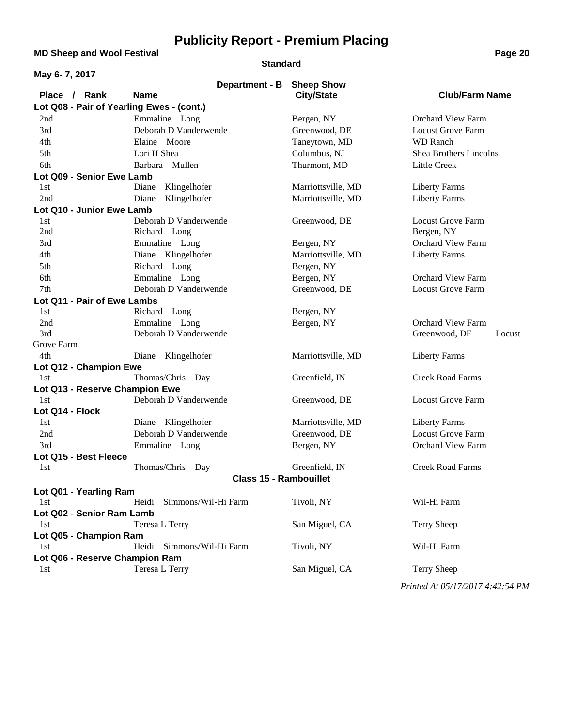**MD Sheep and Wool Festival <b>Page 20** 

### **Standard**

| May 6-7, 2017                             |                               |                    |                          |
|-------------------------------------------|-------------------------------|--------------------|--------------------------|
|                                           | <b>Department - B</b>         | <b>Sheep Show</b>  |                          |
| Place / Rank                              | <b>Name</b>                   | <b>City/State</b>  | <b>Club/Farm Name</b>    |
| Lot Q08 - Pair of Yearling Ewes - (cont.) |                               |                    |                          |
| 2nd                                       | Emmaline Long                 | Bergen, NY         | <b>Orchard View Farm</b> |
| 3rd                                       | Deborah D Vanderwende         | Greenwood, DE      | <b>Locust Grove Farm</b> |
| 4th                                       | Elaine Moore                  | Taneytown, MD      | <b>WD</b> Ranch          |
| 5th                                       | Lori H Shea                   | Columbus, NJ       | Shea Brothers Lincolns   |
| 6th                                       | Barbara Mullen                | Thurmont, MD       | <b>Little Creek</b>      |
| Lot Q09 - Senior Ewe Lamb                 |                               |                    |                          |
| 1st                                       | Klingelhofer<br>Diane         | Marriottsville, MD | <b>Liberty Farms</b>     |
| 2nd                                       | Klingelhofer<br>Diane         | Marriottsville, MD | <b>Liberty Farms</b>     |
| Lot Q10 - Junior Ewe Lamb                 |                               |                    |                          |
| 1st                                       | Deborah D Vanderwende         | Greenwood, DE      | <b>Locust Grove Farm</b> |
| 2nd                                       | Richard Long                  |                    | Bergen, NY               |
| 3rd                                       | Emmaline Long                 | Bergen, NY         | <b>Orchard View Farm</b> |
| 4th                                       | Diane Klingelhofer            | Marriottsville, MD | <b>Liberty Farms</b>     |
| 5th                                       | Richard Long                  | Bergen, NY         |                          |
| 6th                                       | Emmaline Long                 | Bergen, NY         | <b>Orchard View Farm</b> |
| 7th                                       | Deborah D Vanderwende         | Greenwood, DE      | <b>Locust Grove Farm</b> |
| Lot Q11 - Pair of Ewe Lambs               |                               |                    |                          |
| 1st                                       | Richard Long                  | Bergen, NY         |                          |
| 2nd                                       | Emmaline Long                 | Bergen, NY         | <b>Orchard View Farm</b> |
| 3rd                                       | Deborah D Vanderwende         |                    | Greenwood, DE<br>Locust  |
| Grove Farm                                |                               |                    |                          |
| 4th                                       | Klingelhofer<br>Diane         | Marriottsville, MD | <b>Liberty Farms</b>     |
| Lot Q12 - Champion Ewe                    |                               |                    |                          |
| 1st                                       | Thomas/Chris Day              | Greenfield, IN     | <b>Creek Road Farms</b>  |
| Lot Q13 - Reserve Champion Ewe            |                               |                    |                          |
| 1st                                       | Deborah D Vanderwende         | Greenwood, DE      | <b>Locust Grove Farm</b> |
| Lot Q14 - Flock                           |                               |                    |                          |
| 1st                                       | Diane Klingelhofer            | Marriottsville, MD | <b>Liberty Farms</b>     |
| 2nd                                       | Deborah D Vanderwende         | Greenwood, DE      | <b>Locust Grove Farm</b> |
| 3rd                                       | Emmaline Long                 | Bergen, NY         | <b>Orchard View Farm</b> |
| Lot Q15 - Best Fleece                     |                               |                    |                          |
| 1st                                       | Thomas/Chris Day              | Greenfield, IN     | <b>Creek Road Farms</b>  |
|                                           | <b>Class 15 - Rambouillet</b> |                    |                          |
| Lot Q01 - Yearling Ram                    |                               |                    |                          |
| 1st                                       | Simmons/Wil-Hi Farm<br>Heidi  | Tivoli, NY         | Wil-Hi Farm              |
| Lot Q02 - Senior Ram Lamb                 |                               |                    |                          |
| 1st                                       | Teresa L Terry                | San Miguel, CA     | <b>Terry Sheep</b>       |
| Lot Q05 - Champion Ram                    |                               |                    |                          |
| 1st                                       | Heidi<br>Simmons/Wil-Hi Farm  | Tivoli, NY         | Wil-Hi Farm              |
| Lot Q06 - Reserve Champion Ram            |                               |                    |                          |
| 1st                                       | Teresa L Terry                | San Miguel, CA     | Terry Sheep              |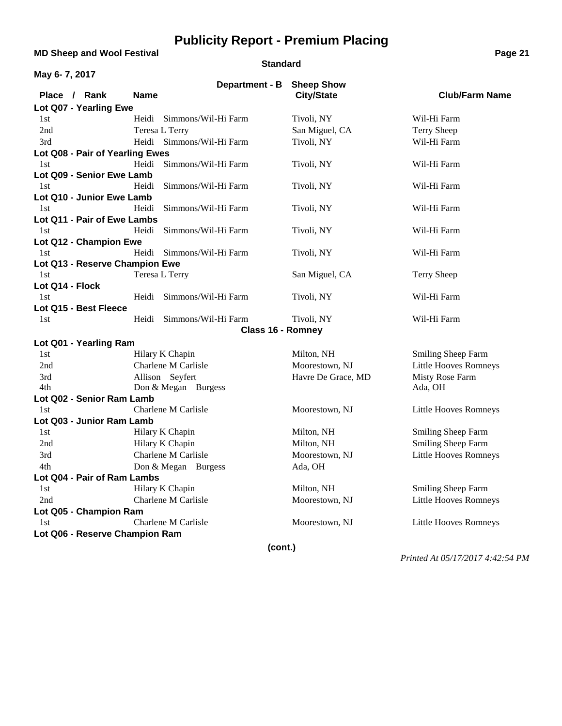**MD Sheep and Wool Festival <b>Page 21** 

#### **Standard**

| May 6-7, 2017                   |                               |                                        |                              |  |
|---------------------------------|-------------------------------|----------------------------------------|------------------------------|--|
| Place / Rank                    | Department - B<br><b>Name</b> | <b>Sheep Show</b><br><b>City/State</b> | <b>Club/Farm Name</b>        |  |
| Lot Q07 - Yearling Ewe          |                               |                                        |                              |  |
| 1st                             | Heidi<br>Simmons/Wil-Hi Farm  | Tivoli, NY                             | Wil-Hi Farm                  |  |
| 2nd                             | Teresa L Terry                | San Miguel, CA                         | Terry Sheep                  |  |
| 3rd                             | Heidi Simmons/Wil-Hi Farm     | Tivoli, NY                             | Wil-Hi Farm                  |  |
| Lot Q08 - Pair of Yearling Ewes |                               |                                        |                              |  |
| 1st                             | Heidi Simmons/Wil-Hi Farm     | Tivoli, NY                             | Wil-Hi Farm                  |  |
| Lot Q09 - Senior Ewe Lamb       |                               |                                        |                              |  |
| 1st                             | Heidi<br>Simmons/Wil-Hi Farm  | Tivoli, NY                             | Wil-Hi Farm                  |  |
| Lot Q10 - Junior Ewe Lamb       |                               |                                        |                              |  |
| 1st                             | Heidi<br>Simmons/Wil-Hi Farm  | Tivoli, NY                             | Wil-Hi Farm                  |  |
| Lot Q11 - Pair of Ewe Lambs     |                               |                                        |                              |  |
| 1st                             | Heidi<br>Simmons/Wil-Hi Farm  | Tivoli, NY                             | Wil-Hi Farm                  |  |
| Lot Q12 - Champion Ewe          |                               |                                        |                              |  |
| 1st                             | Heidi<br>Simmons/Wil-Hi Farm  | Tivoli, NY                             | Wil-Hi Farm                  |  |
| Lot Q13 - Reserve Champion Ewe  |                               |                                        |                              |  |
| 1st                             | Teresa L Terry                | San Miguel, CA                         | <b>Terry Sheep</b>           |  |
| Lot Q14 - Flock                 |                               |                                        |                              |  |
| 1st                             | Heidi<br>Simmons/Wil-Hi Farm  | Tivoli, NY                             | Wil-Hi Farm                  |  |
| Lot Q15 - Best Fleece           |                               |                                        |                              |  |
| 1st                             | Simmons/Wil-Hi Farm<br>Heidi  | Tivoli, NY                             | Wil-Hi Farm                  |  |
|                                 | <b>Class 16 - Romney</b>      |                                        |                              |  |
| Lot Q01 - Yearling Ram          |                               |                                        |                              |  |
| 1st                             | Hilary K Chapin               | Milton, NH                             | Smiling Sheep Farm           |  |
| 2nd                             | Charlene M Carlisle           | Moorestown, NJ                         | <b>Little Hooves Romneys</b> |  |
| 3rd                             | Allison Seyfert               | Havre De Grace, MD                     | Misty Rose Farm              |  |
| 4th                             | Don & Megan Burgess           |                                        | Ada, OH                      |  |
| Lot Q02 - Senior Ram Lamb       |                               |                                        |                              |  |
| 1st                             | Charlene M Carlisle           | Moorestown, NJ                         | Little Hooves Romneys        |  |
| Lot Q03 - Junior Ram Lamb       |                               |                                        |                              |  |
| 1st                             | Hilary K Chapin               | Milton, NH                             | Smiling Sheep Farm           |  |
| 2nd                             | Hilary K Chapin               | Milton, NH                             | Smiling Sheep Farm           |  |
| 3rd                             | Charlene M Carlisle           | Moorestown, NJ                         | <b>Little Hooves Romneys</b> |  |
| 4th                             | Don & Megan Burgess           | Ada, OH                                |                              |  |
| Lot Q04 - Pair of Ram Lambs     |                               |                                        |                              |  |
| 1st                             | Hilary K Chapin               | Milton, NH                             | Smiling Sheep Farm           |  |
| 2nd                             | Charlene M Carlisle           | Moorestown, NJ                         | <b>Little Hooves Romneys</b> |  |
| Lot Q05 - Champion Ram          |                               |                                        |                              |  |
| 1st                             | Charlene M Carlisle           | Moorestown, NJ                         | Little Hooves Romneys        |  |
| Lot Q06 - Reserve Champion Ram  |                               |                                        |                              |  |
|                                 | (cont.)                       |                                        |                              |  |
|                                 |                               |                                        |                              |  |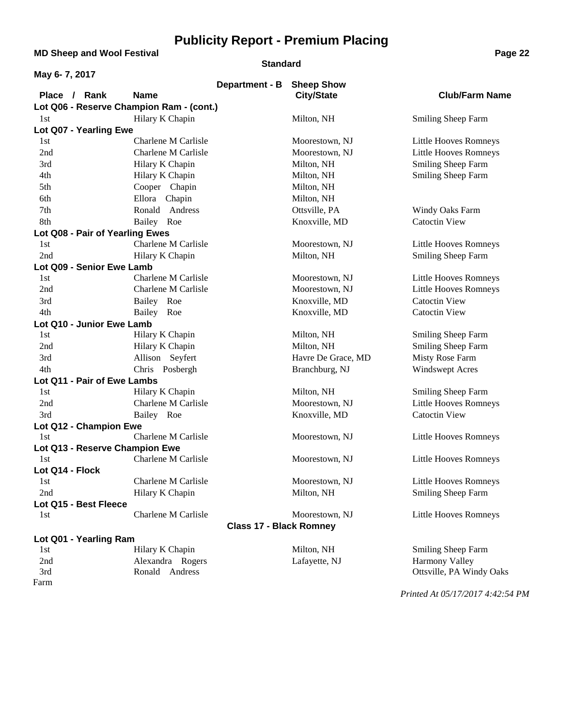**MD Sheep and Wool Festival <b>Page 22 Page 22** 

#### **Standard**

| May 6-7, 2017                            |                            |                                |                    |                              |
|------------------------------------------|----------------------------|--------------------------------|--------------------|------------------------------|
|                                          |                            | <b>Department - B</b>          | <b>Sheep Show</b>  |                              |
| Place / Rank                             | <b>Name</b>                |                                | <b>City/State</b>  | <b>Club/Farm Name</b>        |
| Lot Q06 - Reserve Champion Ram - (cont.) |                            |                                |                    |                              |
| 1st                                      | Hilary K Chapin            |                                | Milton, NH         | Smiling Sheep Farm           |
| Lot Q07 - Yearling Ewe                   |                            |                                |                    |                              |
| 1st                                      | Charlene M Carlisle        |                                | Moorestown, NJ     | Little Hooves Romneys        |
| 2nd                                      | <b>Charlene M Carlisle</b> |                                | Moorestown, NJ     | Little Hooves Romneys        |
| 3rd                                      | Hilary K Chapin            |                                | Milton, NH         | Smiling Sheep Farm           |
| 4th                                      | Hilary K Chapin            |                                | Milton, NH         | Smiling Sheep Farm           |
| 5th                                      | Cooper Chapin              |                                | Milton, NH         |                              |
| 6th                                      | Ellora Chapin              |                                | Milton, NH         |                              |
| 7th                                      | Ronald Andress             |                                | Ottsville, PA      | Windy Oaks Farm              |
| 8th                                      | Bailey Roe                 |                                | Knoxville, MD      | <b>Catoctin View</b>         |
| Lot Q08 - Pair of Yearling Ewes          |                            |                                |                    |                              |
| 1st                                      | Charlene M Carlisle        |                                | Moorestown, NJ     | Little Hooves Romneys        |
| 2nd                                      | Hilary K Chapin            |                                | Milton, NH         | Smiling Sheep Farm           |
| Lot Q09 - Senior Ewe Lamb                |                            |                                |                    |                              |
| 1st                                      | Charlene M Carlisle        |                                | Moorestown, NJ     | Little Hooves Romneys        |
| 2nd                                      | Charlene M Carlisle        |                                | Moorestown, NJ     | Little Hooves Romneys        |
| 3rd                                      | Bailey Roe                 |                                | Knoxville, MD      | <b>Catoctin View</b>         |
| 4th                                      | Bailey Roe                 |                                | Knoxville, MD      | <b>Catoctin View</b>         |
| Lot Q10 - Junior Ewe Lamb                |                            |                                |                    |                              |
| 1st                                      | Hilary K Chapin            |                                | Milton, NH         | Smiling Sheep Farm           |
| 2nd                                      | Hilary K Chapin            |                                | Milton, NH         | Smiling Sheep Farm           |
| 3rd                                      | Allison Seyfert            |                                | Havre De Grace, MD | Misty Rose Farm              |
| 4th                                      | Chris Posbergh             |                                | Branchburg, NJ     | Windswept Acres              |
| Lot Q11 - Pair of Ewe Lambs              |                            |                                |                    |                              |
| 1st                                      | Hilary K Chapin            |                                | Milton, NH         | Smiling Sheep Farm           |
| 2nd                                      | Charlene M Carlisle        |                                | Moorestown, NJ     | <b>Little Hooves Romneys</b> |
| 3rd                                      | Bailey Roe                 |                                | Knoxville, MD      | <b>Catoctin View</b>         |
| Lot Q12 - Champion Ewe                   |                            |                                |                    |                              |
| 1st                                      | Charlene M Carlisle        |                                | Moorestown, NJ     | Little Hooves Romneys        |
| Lot Q13 - Reserve Champion Ewe           |                            |                                |                    |                              |
| 1st                                      | Charlene M Carlisle        |                                | Moorestown, NJ     | Little Hooves Romneys        |
| Lot Q14 - Flock                          |                            |                                |                    |                              |
| 1st                                      | Charlene M Carlisle        |                                | Moorestown, NJ     | Little Hooves Romneys        |
| 2nd                                      | Hilary K Chapin            |                                | Milton, NH         | <b>Smiling Sheep Farm</b>    |
| Lot Q15 - Best Fleece                    |                            |                                |                    |                              |
| 1st                                      | Charlene M Carlisle        |                                | Moorestown, NJ     | Little Hooves Romneys        |
|                                          |                            | <b>Class 17 - Black Romney</b> |                    |                              |
| Lot Q01 - Yearling Ram                   |                            |                                |                    |                              |
| 1st                                      | Hilary K Chapin            |                                | Milton, NH         | Smiling Sheep Farm           |
| 2nd                                      | Alexandra Rogers           |                                | Lafayette, NJ      | <b>Harmony Valley</b>        |
| 3rd                                      | Ronald Andress             |                                |                    | Ottsville, PA Windy Oaks     |
| Farm                                     |                            |                                |                    |                              |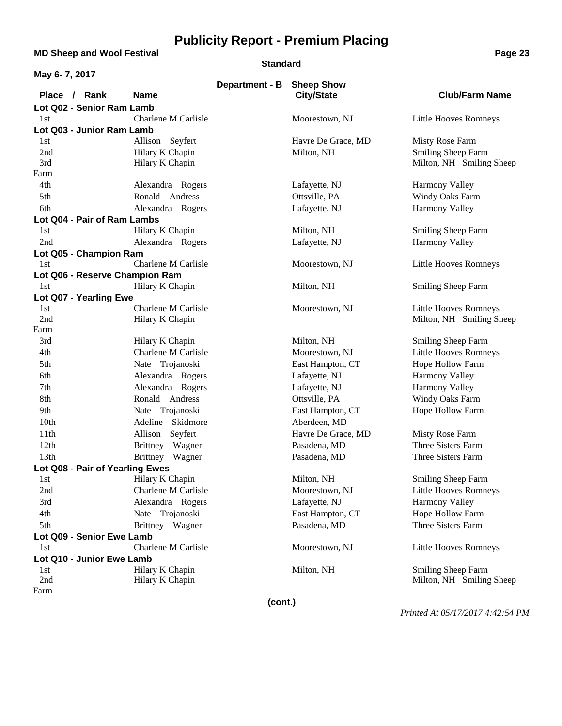**MD Sheep and Wool Festival <b>Page 23** 

#### **Standard**

| May 6-7, 2017                      |                                    |                           |                    |                          |
|------------------------------------|------------------------------------|---------------------------|--------------------|--------------------------|
|                                    |                                    | Department - B Sheep Show |                    |                          |
| Place / Rank                       | <b>Name</b>                        |                           | <b>City/State</b>  | <b>Club/Farm Name</b>    |
| Lot Q02 - Senior Ram Lamb          |                                    |                           |                    |                          |
| 1st                                | Charlene M Carlisle                |                           | Moorestown, NJ     | Little Hooves Romneys    |
| Lot Q03 - Junior Ram Lamb          |                                    |                           |                    |                          |
| 1st                                | Allison Seyfert                    |                           | Havre De Grace, MD | <b>Misty Rose Farm</b>   |
| 2nd                                | Hilary K Chapin                    |                           | Milton, NH         | Smiling Sheep Farm       |
| 3rd                                | Hilary K Chapin                    |                           |                    | Milton, NH Smiling Sheep |
| Farm<br>4th                        |                                    |                           |                    |                          |
|                                    | Alexandra Rogers<br>Ronald Andress |                           | Lafayette, NJ      | Harmony Valley           |
| 5th                                |                                    |                           | Ottsville, PA      | Windy Oaks Farm          |
| 6th                                | Alexandra Rogers                   |                           | Lafayette, NJ      | Harmony Valley           |
| Lot Q04 - Pair of Ram Lambs<br>1st | Hilary K Chapin                    |                           |                    |                          |
| 2nd                                |                                    |                           | Milton, NH         | Smiling Sheep Farm       |
|                                    | Alexandra Rogers                   |                           | Lafayette, NJ      | Harmony Valley           |
| Lot Q05 - Champion Ram<br>1st      | Charlene M Carlisle                |                           | Moorestown, NJ     | Little Hooves Romneys    |
| Lot Q06 - Reserve Champion Ram     |                                    |                           |                    |                          |
| 1st                                | Hilary K Chapin                    |                           | Milton, NH         | Smiling Sheep Farm       |
| Lot Q07 - Yearling Ewe             |                                    |                           |                    |                          |
| 1st                                | Charlene M Carlisle                |                           | Moorestown, NJ     | Little Hooves Romneys    |
| 2nd                                | Hilary K Chapin                    |                           |                    | Milton, NH Smiling Sheep |
| Farm                               |                                    |                           |                    |                          |
| 3rd                                | Hilary K Chapin                    |                           | Milton, NH         | Smiling Sheep Farm       |
| 4th                                | Charlene M Carlisle                |                           | Moorestown, NJ     | Little Hooves Romneys    |
| 5th                                | Nate Trojanoski                    |                           | East Hampton, CT   | Hope Hollow Farm         |
| 6th                                | Alexandra Rogers                   |                           | Lafayette, NJ      | Harmony Valley           |
| 7th                                | Alexandra Rogers                   |                           | Lafayette, NJ      | Harmony Valley           |
| 8th                                | Ronald Andress                     |                           | Ottsville, PA      | Windy Oaks Farm          |
| 9th                                | Nate Trojanoski                    |                           | East Hampton, CT   | Hope Hollow Farm         |
| 10th                               | Adeline Skidmore                   |                           | Aberdeen, MD       |                          |
| 11th                               | Allison<br>Seyfert                 |                           | Havre De Grace, MD | Misty Rose Farm          |
| 12th                               | Brittney Wagner                    |                           | Pasadena, MD       | Three Sisters Farm       |
| 13th                               | Brittney Wagner                    |                           | Pasadena, MD       | Three Sisters Farm       |
| Lot Q08 - Pair of Yearling Ewes    |                                    |                           |                    |                          |
| 1st                                | Hilary K Chapin                    |                           | Milton, NH         | Smiling Sheep Farm       |
| 2nd                                | Charlene M Carlisle                |                           | Moorestown, NJ     | Little Hooves Romneys    |
| 3rd                                | Alexandra Rogers                   |                           | Lafayette, NJ      | <b>Harmony Valley</b>    |
| 4th                                | Nate Trojanoski                    |                           | East Hampton, CT   | Hope Hollow Farm         |
| 5th                                | Brittney Wagner                    |                           | Pasadena, MD       | Three Sisters Farm       |
| Lot Q09 - Senior Ewe Lamb          |                                    |                           |                    |                          |
| 1st                                | Charlene M Carlisle                |                           | Moorestown, NJ     | Little Hooves Romneys    |
| Lot Q10 - Junior Ewe Lamb          |                                    |                           |                    |                          |
| 1st                                | Hilary K Chapin                    |                           | Milton, NH         | Smiling Sheep Farm       |
| 2nd                                | Hilary K Chapin                    |                           |                    | Milton, NH Smiling Sheep |
| Farm                               |                                    |                           |                    |                          |
|                                    |                                    | (cont.)                   |                    |                          |